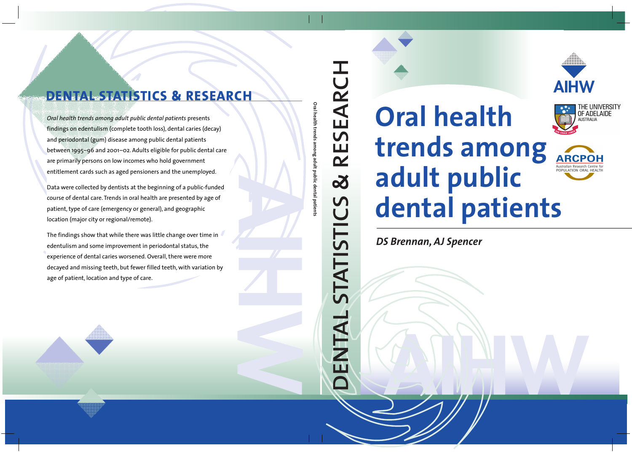

# **Oral health trends among adult public dental patients**



THE UNIVERS OF ADELAIDE **AUSTRALIA** 

*DS Brennan, AJ Spencer*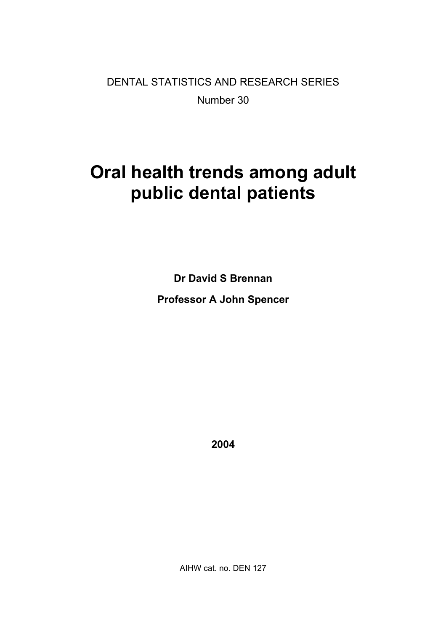DENTAL STATISTICS AND RESEARCH SERIES Number 30

# **Oral health trends among adult public dental patients**

**Dr David S Brennan Professor A John Spencer** 

**2004** 

AIHW cat. no. DEN 127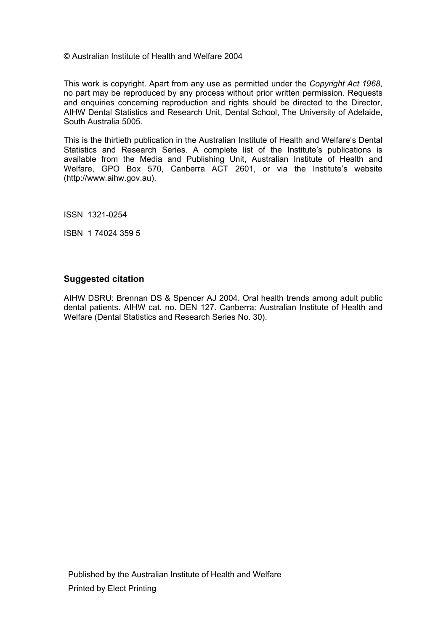#### © Australian Institute of Health and Welfare 2004

This work is copyright. Apart from any use as permitted under the *Copyright Act 1968*, no part may be reproduced by any process without prior written permission. Requests and enquiries concerning reproduction and rights should be directed to the Director, AIHW Dental Statistics and Research Unit, Dental School, The University of Adelaide, South Australia 5005.

This is the thirtieth publication in the Australian Institute of Health and Welfare's Dental Statistics and Research Series. A complete list of the Institute's publications is available from the Media and Publishing Unit, Australian Institute of Health and Welfare, GPO Box 570, Canberra ACT 2601, or via the Institute's website (http://www.aihw.gov.au).

ISSN 1321-0254

ISBN 1 74024 359 5

#### **Suggested citation**

AIHW DSRU: Brennan DS & Spencer AJ 2004. Oral health trends among adult public dental patients. AIHW cat. no. DEN 127. Canberra: Australian Institute of Health and Welfare (Dental Statistics and Research Series No. 30).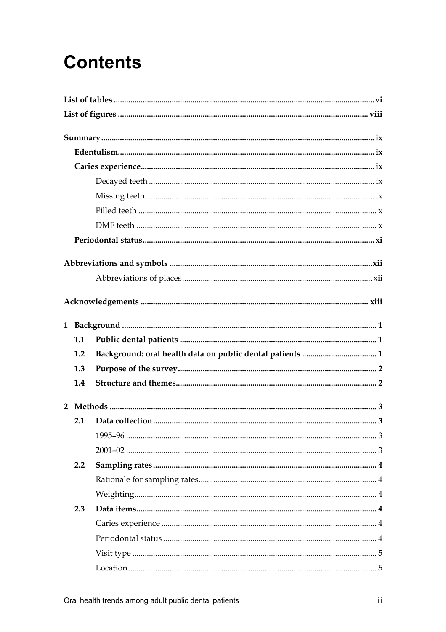# **Contents**

| 1.1              |  |  |
|------------------|--|--|
| 1.2              |  |  |
| 1.3              |  |  |
| 1.4              |  |  |
|                  |  |  |
|                  |  |  |
| 2.1              |  |  |
|                  |  |  |
|                  |  |  |
| $2.2\phantom{0}$ |  |  |
|                  |  |  |
|                  |  |  |
| 2.3              |  |  |
|                  |  |  |
|                  |  |  |
|                  |  |  |
|                  |  |  |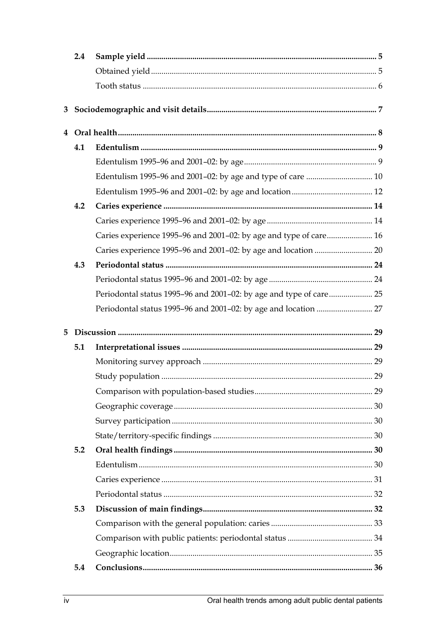|   | $2.4\,$ |                                                                   |  |
|---|---------|-------------------------------------------------------------------|--|
|   |         |                                                                   |  |
|   |         |                                                                   |  |
| 3 |         |                                                                   |  |
|   |         |                                                                   |  |
|   | 4.1     |                                                                   |  |
|   |         |                                                                   |  |
|   |         |                                                                   |  |
|   |         |                                                                   |  |
|   | 4.2     |                                                                   |  |
|   |         |                                                                   |  |
|   |         | Caries experience 1995-96 and 2001-02: by age and type of care 16 |  |
|   |         |                                                                   |  |
|   | 4.3     |                                                                   |  |
|   |         |                                                                   |  |
|   |         |                                                                   |  |
|   |         |                                                                   |  |
| 5 |         |                                                                   |  |
|   | 5.1     |                                                                   |  |
|   |         |                                                                   |  |
|   |         |                                                                   |  |
|   |         |                                                                   |  |
|   |         |                                                                   |  |
|   |         |                                                                   |  |
|   |         |                                                                   |  |
|   | 5.2     |                                                                   |  |
|   |         |                                                                   |  |
|   |         |                                                                   |  |
|   |         |                                                                   |  |
|   | 5.3     |                                                                   |  |
|   |         |                                                                   |  |
|   |         |                                                                   |  |
|   |         |                                                                   |  |
|   | 5.4     |                                                                   |  |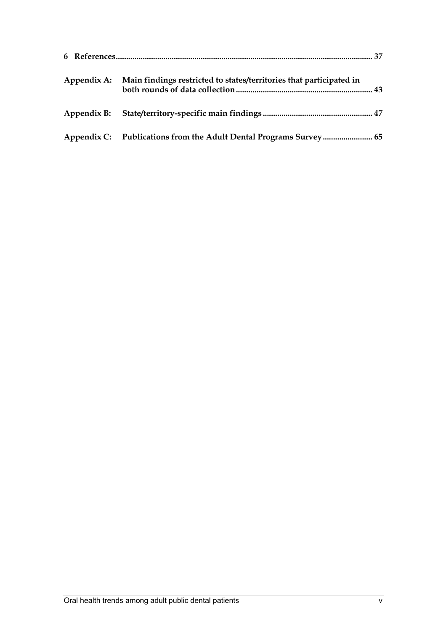| Appendix A: Main findings restricted to states/territories that participated in |  |
|---------------------------------------------------------------------------------|--|
|                                                                                 |  |
| Appendix C: Publications from the Adult Dental Programs Survey 65               |  |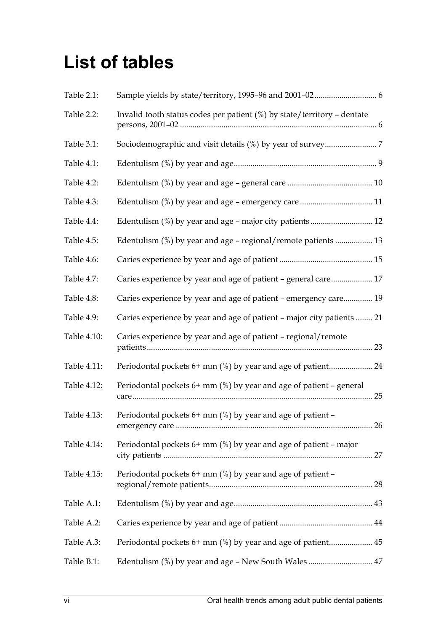# **List of tables**

| Table 2.1:  |                                                                         |
|-------------|-------------------------------------------------------------------------|
| Table 2.2:  | Invalid tooth status codes per patient (%) by state/territory - dentate |
| Table 3.1:  |                                                                         |
| Table 4.1:  |                                                                         |
| Table 4.2:  |                                                                         |
| Table 4.3:  |                                                                         |
| Table 4.4:  | Edentulism (%) by year and age - major city patients 12                 |
| Table 4.5:  | Edentulism (%) by year and age - regional/remote patients  13           |
| Table 4.6:  |                                                                         |
| Table 4.7:  | Caries experience by year and age of patient - general care 17          |
| Table 4.8:  | Caries experience by year and age of patient - emergency care 19        |
| Table 4.9:  | Caries experience by year and age of patient - major city patients  21  |
| Table 4.10: | Caries experience by year and age of patient - regional/remote          |
| Table 4.11: | Periodontal pockets 6+ mm (%) by year and age of patient 24             |
| Table 4.12: | Periodontal pockets $6+$ mm $(\%)$ by year and age of patient – general |
| Table 4.13: | Periodontal pockets 6+ mm (%) by year and age of patient -              |
| Table 4.14: | Periodontal pockets $6+$ mm $(\%)$ by year and age of patient - major   |
| Table 4.15: | Periodontal pockets 6+ mm (%) by year and age of patient -              |
| Table A.1:  |                                                                         |
| Table A.2:  |                                                                         |
| Table A.3:  |                                                                         |
| Table B.1:  |                                                                         |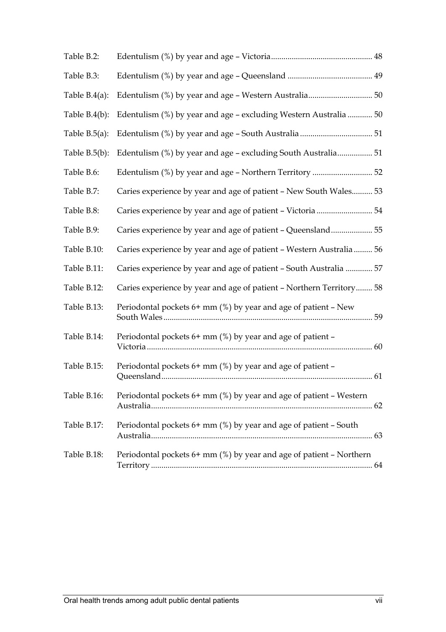| Table B.2:       |                                                                      |  |
|------------------|----------------------------------------------------------------------|--|
| Table B.3:       |                                                                      |  |
| Table $B.4(a)$ : |                                                                      |  |
| Table $B.4(b)$ : | Edentulism (%) by year and age - excluding Western Australia  50     |  |
| Table $B.5(a)$ : |                                                                      |  |
| Table $B.5(b)$ : |                                                                      |  |
| Table B.6:       |                                                                      |  |
| Table B.7:       | Caries experience by year and age of patient - New South Wales 53    |  |
| Table B.8:       |                                                                      |  |
| Table B.9:       | Caries experience by year and age of patient - Queensland 55         |  |
| Table B.10:      | Caries experience by year and age of patient - Western Australia 56  |  |
| Table B.11:      | Caries experience by year and age of patient - South Australia  57   |  |
| Table B.12:      | Caries experience by year and age of patient - Northern Territory 58 |  |
| Table B.13:      | Periodontal pockets $6+$ mm (%) by year and age of patient – New     |  |
| Table B.14:      | Periodontal pockets 6+ mm (%) by year and age of patient -           |  |
| Table B.15:      | Periodontal pockets $6+$ mm $(\%)$ by year and age of patient –      |  |
| Table B.16:      | Periodontal pockets 6+ mm (%) by year and age of patient – Western   |  |
| Table B.17:      | Periodontal pockets 6+ mm (%) by year and age of patient - South     |  |
| Table B.18:      | Periodontal pockets 6+ mm (%) by year and age of patient - Northern  |  |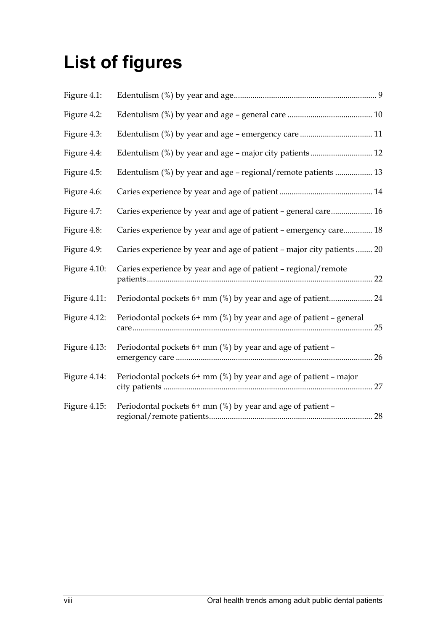# **List of figures**

| Figure 4.1:  |                                                                            |
|--------------|----------------------------------------------------------------------------|
| Figure 4.2:  |                                                                            |
| Figure 4.3:  |                                                                            |
| Figure 4.4:  |                                                                            |
| Figure 4.5:  | Edentulism (%) by year and age - regional/remote patients  13              |
| Figure 4.6:  |                                                                            |
| Figure 4.7:  | Caries experience by year and age of patient - general care 16             |
| Figure 4.8:  | Caries experience by year and age of patient - emergency care 18           |
| Figure 4.9:  | Caries experience by year and age of patient - major city patients  20     |
| Figure 4.10: | Caries experience by year and age of patient - regional/remote             |
| Figure 4.11: |                                                                            |
| Figure 4.12: | Periodontal pockets $6+$ mm (%) by year and age of patient – general<br>25 |
| Figure 4.13: | Periodontal pockets 6+ mm (%) by year and age of patient -                 |
| Figure 4.14: | Periodontal pockets $6+$ mm $(\%)$ by year and age of patient – major      |
| Figure 4.15: | Periodontal pockets 6+ mm (%) by year and age of patient -                 |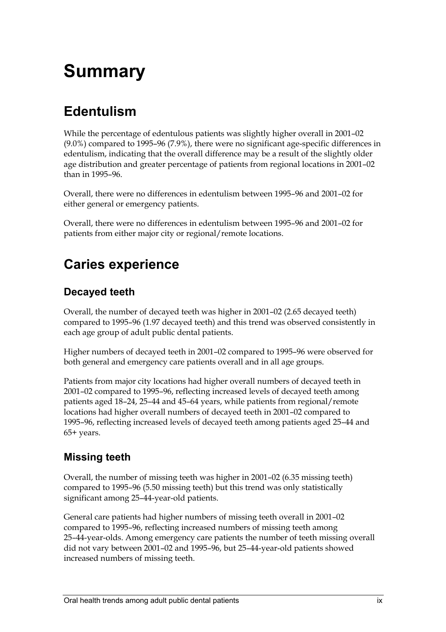# **Summary**

### **Edentulism**

While the percentage of edentulous patients was slightly higher overall in 2001–02 (9.0%) compared to 1995–96 (7.9%), there were no significant age-specific differences in edentulism, indicating that the overall difference may be a result of the slightly older age distribution and greater percentage of patients from regional locations in 2001–02 than in 1995–96.

Overall, there were no differences in edentulism between 1995–96 and 2001–02 for either general or emergency patients.

Overall, there were no differences in edentulism between 1995–96 and 2001–02 for patients from either major city or regional/remote locations.

### **Caries experience**

### **Decayed teeth**

Overall, the number of decayed teeth was higher in 2001–02 (2.65 decayed teeth) compared to 1995–96 (1.97 decayed teeth) and this trend was observed consistently in each age group of adult public dental patients.

Higher numbers of decayed teeth in 2001–02 compared to 1995–96 were observed for both general and emergency care patients overall and in all age groups.

Patients from major city locations had higher overall numbers of decayed teeth in 2001–02 compared to 1995–96, reflecting increased levels of decayed teeth among patients aged 18–24, 25–44 and 45–64 years, while patients from regional/remote locations had higher overall numbers of decayed teeth in 2001–02 compared to 1995–96, reflecting increased levels of decayed teeth among patients aged 25–44 and 65+ years.

### **Missing teeth**

Overall, the number of missing teeth was higher in 2001–02 (6.35 missing teeth) compared to 1995–96 (5.50 missing teeth) but this trend was only statistically significant among 25–44-year-old patients.

General care patients had higher numbers of missing teeth overall in 2001–02 compared to 1995–96, reflecting increased numbers of missing teeth among 25–44-year-olds. Among emergency care patients the number of teeth missing overall did not vary between 2001–02 and 1995–96, but 25–44-year-old patients showed increased numbers of missing teeth.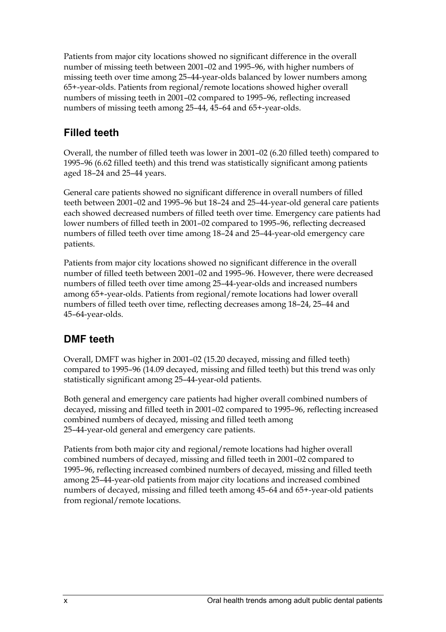Patients from major city locations showed no significant difference in the overall number of missing teeth between 2001–02 and 1995–96, with higher numbers of missing teeth over time among 25–44-year-olds balanced by lower numbers among 65+-year-olds. Patients from regional/remote locations showed higher overall numbers of missing teeth in 2001–02 compared to 1995–96, reflecting increased numbers of missing teeth among 25–44, 45–64 and 65+-year-olds.

### **Filled teeth**

Overall, the number of filled teeth was lower in 2001–02 (6.20 filled teeth) compared to 1995–96 (6.62 filled teeth) and this trend was statistically significant among patients aged 18–24 and 25–44 years.

General care patients showed no significant difference in overall numbers of filled teeth between 2001–02 and 1995–96 but 18–24 and 25–44-year-old general care patients each showed decreased numbers of filled teeth over time. Emergency care patients had lower numbers of filled teeth in 2001–02 compared to 1995–96, reflecting decreased numbers of filled teeth over time among 18–24 and 25–44-year-old emergency care patients.

Patients from major city locations showed no significant difference in the overall number of filled teeth between 2001–02 and 1995–96. However, there were decreased numbers of filled teeth over time among 25–44-year-olds and increased numbers among 65+-year-olds. Patients from regional/remote locations had lower overall numbers of filled teeth over time, reflecting decreases among 18–24, 25–44 and 45–64-year-olds.

### **DMF teeth**

Overall, DMFT was higher in 2001–02 (15.20 decayed, missing and filled teeth) compared to 1995–96 (14.09 decayed, missing and filled teeth) but this trend was only statistically significant among 25–44-year-old patients.

Both general and emergency care patients had higher overall combined numbers of decayed, missing and filled teeth in 2001–02 compared to 1995–96, reflecting increased combined numbers of decayed, missing and filled teeth among 25–44-year-old general and emergency care patients.

Patients from both major city and regional/remote locations had higher overall combined numbers of decayed, missing and filled teeth in 2001–02 compared to 1995–96, reflecting increased combined numbers of decayed, missing and filled teeth among 25–44-year-old patients from major city locations and increased combined numbers of decayed, missing and filled teeth among 45–64 and 65+-year-old patients from regional/remote locations.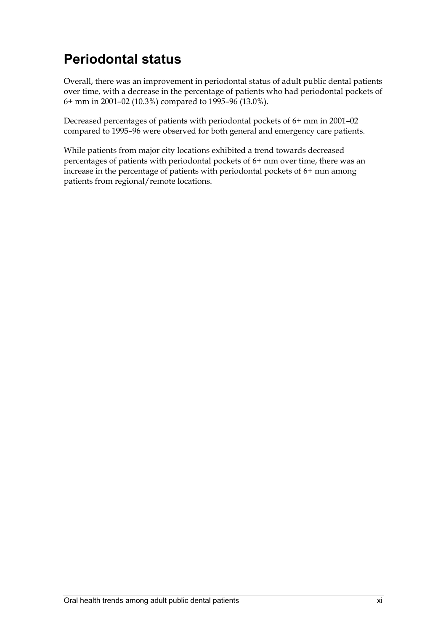### **Periodontal status**

Overall, there was an improvement in periodontal status of adult public dental patients over time, with a decrease in the percentage of patients who had periodontal pockets of 6+ mm in 2001–02 (10.3%) compared to 1995–96 (13.0%).

Decreased percentages of patients with periodontal pockets of 6+ mm in 2001–02 compared to 1995–96 were observed for both general and emergency care patients.

While patients from major city locations exhibited a trend towards decreased percentages of patients with periodontal pockets of 6+ mm over time, there was an increase in the percentage of patients with periodontal pockets of 6+ mm among patients from regional/remote locations.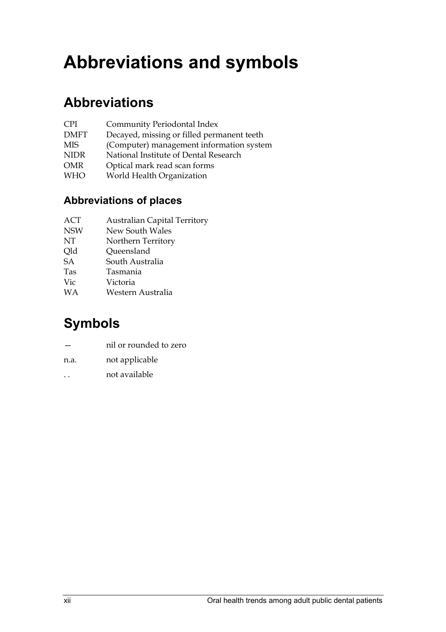# **Abbreviations and symbols**

### **Abbreviations**

| <b>Community Periodontal Index</b> |
|------------------------------------|
|                                    |

- DMFT Decayed, missing or filled permanent teeth
- MIS (Computer) management information system
- NIDR National Institute of Dental Research
- OMR Optical mark read scan forms
- WHO World Health Organization

### **Abbreviations of places**

- ACT Australian Capital Territory
- NSW New South Wales
- NT Northern Territory
- Old Oueensland
- SA South Australia
- Tas Tasmania
- Vic Victoria
- WA Western Australia

### **Symbols**

- nil or rounded to zero
- n.a. not applicable
- . . not available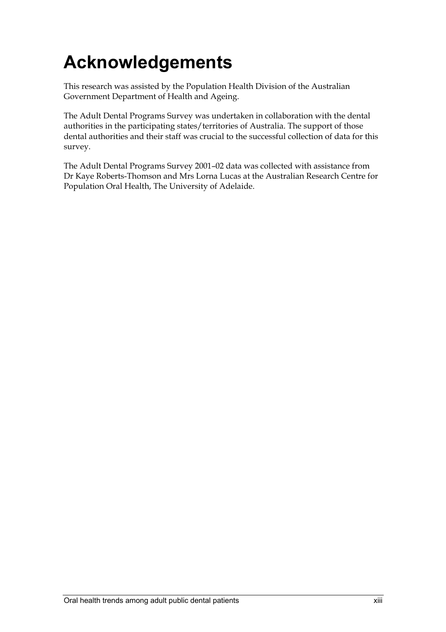# **Acknowledgements**

This research was assisted by the Population Health Division of the Australian Government Department of Health and Ageing.

The Adult Dental Programs Survey was undertaken in collaboration with the dental authorities in the participating states/territories of Australia. The support of those dental authorities and their staff was crucial to the successful collection of data for this survey.

The Adult Dental Programs Survey 2001–02 data was collected with assistance from Dr Kaye Roberts-Thomson and Mrs Lorna Lucas at the Australian Research Centre for Population Oral Health, The University of Adelaide.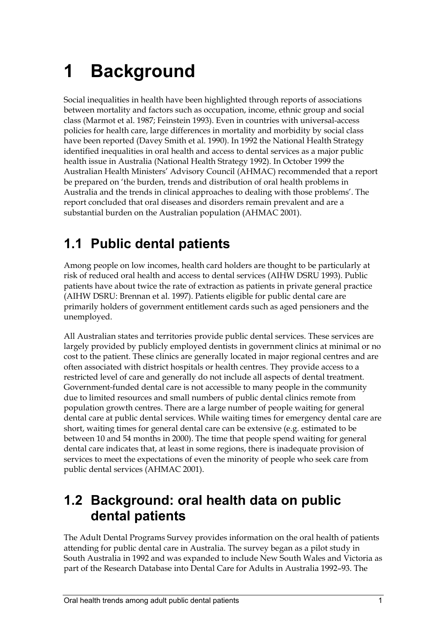# **1 Background**

Social inequalities in health have been highlighted through reports of associations between mortality and factors such as occupation, income, ethnic group and social class (Marmot et al. 1987; Feinstein 1993). Even in countries with universal-access policies for health care, large differences in mortality and morbidity by social class have been reported (Davey Smith et al. 1990). In 1992 the National Health Strategy identified inequalities in oral health and access to dental services as a major public health issue in Australia (National Health Strategy 1992). In October 1999 the Australian Health Ministers' Advisory Council (AHMAC) recommended that a report be prepared on 'the burden, trends and distribution of oral health problems in Australia and the trends in clinical approaches to dealing with those problems'. The report concluded that oral diseases and disorders remain prevalent and are a substantial burden on the Australian population (AHMAC 2001).

### **1.1 Public dental patients**

Among people on low incomes, health card holders are thought to be particularly at risk of reduced oral health and access to dental services (AIHW DSRU 1993). Public patients have about twice the rate of extraction as patients in private general practice (AIHW DSRU: Brennan et al. 1997). Patients eligible for public dental care are primarily holders of government entitlement cards such as aged pensioners and the unemployed.

All Australian states and territories provide public dental services. These services are largely provided by publicly employed dentists in government clinics at minimal or no cost to the patient. These clinics are generally located in major regional centres and are often associated with district hospitals or health centres. They provide access to a restricted level of care and generally do not include all aspects of dental treatment. Government-funded dental care is not accessible to many people in the community due to limited resources and small numbers of public dental clinics remote from population growth centres. There are a large number of people waiting for general dental care at public dental services. While waiting times for emergency dental care are short, waiting times for general dental care can be extensive (e.g. estimated to be between 10 and 54 months in 2000). The time that people spend waiting for general dental care indicates that, at least in some regions, there is inadequate provision of services to meet the expectations of even the minority of people who seek care from public dental services (AHMAC 2001).

### **1.2 Background: oral health data on public dental patients**

The Adult Dental Programs Survey provides information on the oral health of patients attending for public dental care in Australia. The survey began as a pilot study in South Australia in 1992 and was expanded to include New South Wales and Victoria as part of the Research Database into Dental Care for Adults in Australia 1992–93. The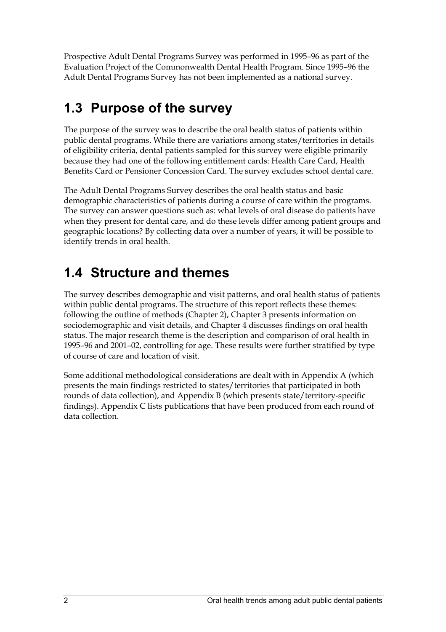Prospective Adult Dental Programs Survey was performed in 1995–96 as part of the Evaluation Project of the Commonwealth Dental Health Program. Since 1995–96 the Adult Dental Programs Survey has not been implemented as a national survey.

### **1.3 Purpose of the survey**

The purpose of the survey was to describe the oral health status of patients within public dental programs. While there are variations among states/territories in details of eligibility criteria, dental patients sampled for this survey were eligible primarily because they had one of the following entitlement cards: Health Care Card, Health Benefits Card or Pensioner Concession Card. The survey excludes school dental care.

The Adult Dental Programs Survey describes the oral health status and basic demographic characteristics of patients during a course of care within the programs. The survey can answer questions such as: what levels of oral disease do patients have when they present for dental care, and do these levels differ among patient groups and geographic locations? By collecting data over a number of years, it will be possible to identify trends in oral health.

### **1.4 Structure and themes**

The survey describes demographic and visit patterns, and oral health status of patients within public dental programs. The structure of this report reflects these themes: following the outline of methods (Chapter 2), Chapter 3 presents information on sociodemographic and visit details, and Chapter 4 discusses findings on oral health status. The major research theme is the description and comparison of oral health in 1995–96 and 2001–02, controlling for age. These results were further stratified by type of course of care and location of visit.

Some additional methodological considerations are dealt with in Appendix A (which presents the main findings restricted to states/territories that participated in both rounds of data collection), and Appendix B (which presents state/territory-specific findings). Appendix C lists publications that have been produced from each round of data collection.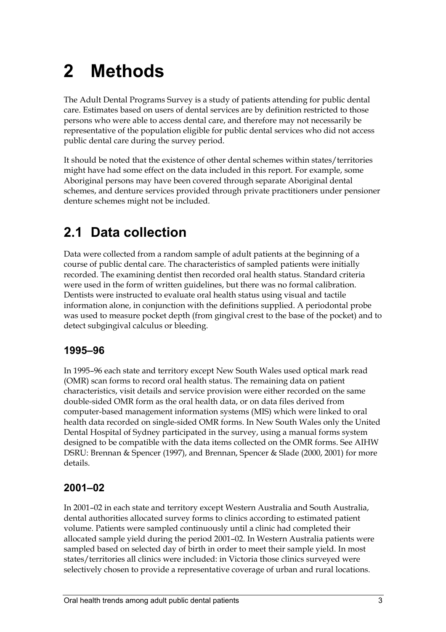# **2 Methods**

The Adult Dental Programs Survey is a study of patients attending for public dental care. Estimates based on users of dental services are by definition restricted to those persons who were able to access dental care, and therefore may not necessarily be representative of the population eligible for public dental services who did not access public dental care during the survey period.

It should be noted that the existence of other dental schemes within states/territories might have had some effect on the data included in this report. For example, some Aboriginal persons may have been covered through separate Aboriginal dental schemes, and denture services provided through private practitioners under pensioner denture schemes might not be included.

### **2.1 Data collection**

Data were collected from a random sample of adult patients at the beginning of a course of public dental care. The characteristics of sampled patients were initially recorded. The examining dentist then recorded oral health status. Standard criteria were used in the form of written guidelines, but there was no formal calibration. Dentists were instructed to evaluate oral health status using visual and tactile information alone, in conjunction with the definitions supplied. A periodontal probe was used to measure pocket depth (from gingival crest to the base of the pocket) and to detect subgingival calculus or bleeding.

### **1995–96**

In 1995–96 each state and territory except New South Wales used optical mark read (OMR) scan forms to record oral health status. The remaining data on patient characteristics, visit details and service provision were either recorded on the same double-sided OMR form as the oral health data, or on data files derived from computer-based management information systems (MIS) which were linked to oral health data recorded on single-sided OMR forms. In New South Wales only the United Dental Hospital of Sydney participated in the survey, using a manual forms system designed to be compatible with the data items collected on the OMR forms. See AIHW DSRU: Brennan & Spencer (1997), and Brennan, Spencer & Slade (2000, 2001) for more details.

### **2001–02**

In 2001–02 in each state and territory except Western Australia and South Australia, dental authorities allocated survey forms to clinics according to estimated patient volume. Patients were sampled continuously until a clinic had completed their allocated sample yield during the period 2001–02. In Western Australia patients were sampled based on selected day of birth in order to meet their sample yield. In most states/territories all clinics were included: in Victoria those clinics surveyed were selectively chosen to provide a representative coverage of urban and rural locations.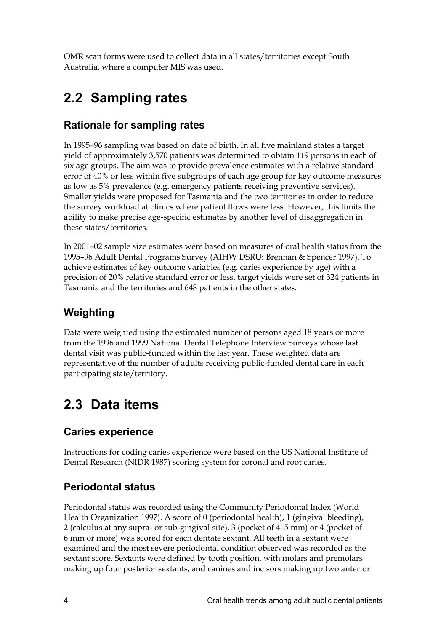OMR scan forms were used to collect data in all states/territories except South Australia, where a computer MIS was used.

### **2.2 Sampling rates**

### **Rationale for sampling rates**

In 1995–96 sampling was based on date of birth. In all five mainland states a target yield of approximately 3,570 patients was determined to obtain 119 persons in each of six age groups. The aim was to provide prevalence estimates with a relative standard error of 40% or less within five subgroups of each age group for key outcome measures as low as 5% prevalence (e.g. emergency patients receiving preventive services). Smaller yields were proposed for Tasmania and the two territories in order to reduce the survey workload at clinics where patient flows were less. However, this limits the ability to make precise age-specific estimates by another level of disaggregation in these states/territories.

In 2001–02 sample size estimates were based on measures of oral health status from the 1995–96 Adult Dental Programs Survey (AIHW DSRU: Brennan & Spencer 1997). To achieve estimates of key outcome variables (e.g. caries experience by age) with a precision of 20% relative standard error or less, target yields were set of 324 patients in Tasmania and the territories and 648 patients in the other states.

### **Weighting**

Data were weighted using the estimated number of persons aged 18 years or more from the 1996 and 1999 National Dental Telephone Interview Surveys whose last dental visit was public-funded within the last year. These weighted data are representative of the number of adults receiving public-funded dental care in each participating state/territory.

### **2.3 Data items**

### **Caries experience**

Instructions for coding caries experience were based on the US National Institute of Dental Research (NIDR 1987) scoring system for coronal and root caries.

### **Periodontal status**

Periodontal status was recorded using the Community Periodontal Index (World Health Organization 1997). A score of 0 (periodontal health), 1 (gingival bleeding), 2 (calculus at any supra- or sub-gingival site), 3 (pocket of 4–5 mm) or 4 (pocket of 6 mm or more) was scored for each dentate sextant. All teeth in a sextant were examined and the most severe periodontal condition observed was recorded as the sextant score. Sextants were defined by tooth position, with molars and premolars making up four posterior sextants, and canines and incisors making up two anterior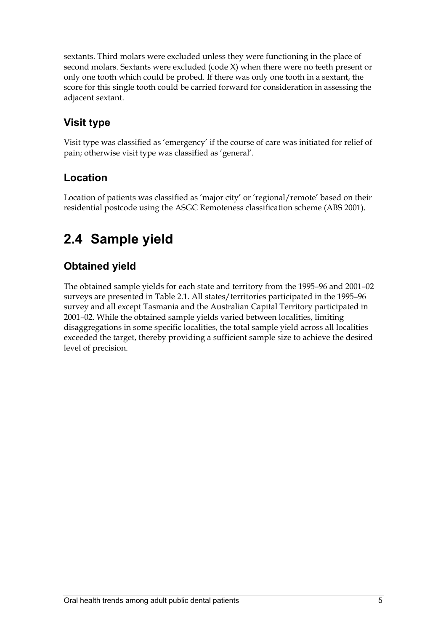sextants. Third molars were excluded unless they were functioning in the place of second molars. Sextants were excluded (code X) when there were no teeth present or only one tooth which could be probed. If there was only one tooth in a sextant, the score for this single tooth could be carried forward for consideration in assessing the adjacent sextant.

### **Visit type**

Visit type was classified as 'emergency' if the course of care was initiated for relief of pain; otherwise visit type was classified as 'general'.

### **Location**

Location of patients was classified as 'major city' or 'regional/remote' based on their residential postcode using the ASGC Remoteness classification scheme (ABS 2001).

### **2.4 Sample yield**

### **Obtained yield**

The obtained sample yields for each state and territory from the 1995–96 and 2001–02 surveys are presented in Table 2.1. All states/territories participated in the 1995–96 survey and all except Tasmania and the Australian Capital Territory participated in 2001–02. While the obtained sample yields varied between localities, limiting disaggregations in some specific localities, the total sample yield across all localities exceeded the target, thereby providing a sufficient sample size to achieve the desired level of precision.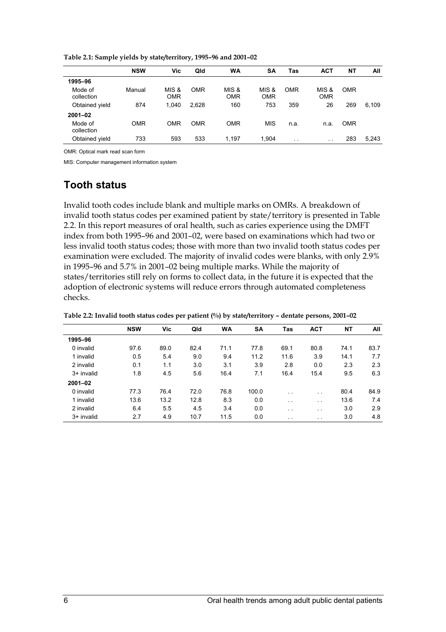|                       | <b>NSW</b> | Vic                 | Qld        | <b>WA</b>           | <b>SA</b>           | Tas           | <b>ACT</b>           | NΤ         | All   |
|-----------------------|------------|---------------------|------------|---------------------|---------------------|---------------|----------------------|------------|-------|
| 1995-96               |            |                     |            |                     |                     |               |                      |            |       |
| Mode of<br>collection | Manual     | MIS &<br><b>OMR</b> | <b>OMR</b> | MIS &<br><b>OMR</b> | MIS &<br><b>OMR</b> | <b>OMR</b>    | MIS &<br><b>OMR</b>  | <b>OMR</b> |       |
| Obtained yield        | 874        | 1.040               | 2.628      | 160                 | 753                 | 359           | 26                   | 269        | 6.109 |
| $2001 - 02$           |            |                     |            |                     |                     |               |                      |            |       |
| Mode of<br>collection | <b>OMR</b> | OMR                 | <b>OMR</b> | <b>OMR</b>          | <b>MIS</b>          | n.a.          | n.a.                 | <b>OMR</b> |       |
| Obtained yield        | 733        | 593                 | 533        | 1.197               | 1,904               | $\sim$ $\sim$ | $\ddot{\phantom{0}}$ | 283        | 5,243 |

**Table 2.1: Sample yields by state/territory, 1995–96 and 2001–02** 

OMR: Optical mark read scan form

MIS: Computer management information system

#### **Tooth status**

Invalid tooth codes include blank and multiple marks on OMRs. A breakdown of invalid tooth status codes per examined patient by state/territory is presented in Table 2.2. In this report measures of oral health, such as caries experience using the DMFT index from both 1995–96 and 2001–02, were based on examinations which had two or less invalid tooth status codes; those with more than two invalid tooth status codes per examination were excluded. The majority of invalid codes were blanks, with only 2.9% in 1995–96 and 5.7% in 2001–02 being multiple marks. While the majority of states/territories still rely on forms to collect data, in the future it is expected that the adoption of electronic systems will reduce errors through automated completeness checks.

|             | <b>NSW</b> | Vic  | Qld  | <b>WA</b> | <b>SA</b> | Tas           | <b>ACT</b>           | <b>NT</b> | All  |
|-------------|------------|------|------|-----------|-----------|---------------|----------------------|-----------|------|
| 1995-96     |            |      |      |           |           |               |                      |           |      |
| 0 invalid   | 97.6       | 89.0 | 82.4 | 71.1      | 77.8      | 69.1          | 80.8                 | 74.1      | 83.7 |
| 1 invalid   | 0.5        | 5.4  | 9.0  | 9.4       | 11.2      | 11.6          | 3.9                  | 14.1      | 7.7  |
| 2 invalid   | 0.1        | 1.1  | 3.0  | 3.1       | 3.9       | 2.8           | 0.0                  | 2.3       | 2.3  |
| 3+ invalid  | 1.8        | 4.5  | 5.6  | 16.4      | 7.1       | 16.4          | 15.4                 | 9.5       | 6.3  |
| $2001 - 02$ |            |      |      |           |           |               |                      |           |      |
| 0 invalid   | 77.3       | 76.4 | 72.0 | 76.8      | 100.0     | $\sim$ $\sim$ | $\ddot{\phantom{0}}$ | 80.4      | 84.9 |
| 1 invalid   | 13.6       | 13.2 | 12.8 | 8.3       | 0.0       | $\sim$ $\sim$ | $\sim$               | 13.6      | 7.4  |
| 2 invalid   | 6.4        | 5.5  | 4.5  | 3.4       | 0.0       | $\sim$ $\sim$ | $\sim$               | 3.0       | 2.9  |
| 3+ invalid  | 2.7        | 4.9  | 10.7 | 11.5      | 0.0       | $\cdots$      | . .                  | 3.0       | 4.8  |

**Table 2.2: Invalid tooth status codes per patient (%) by state/territory – dentate persons, 2001–02**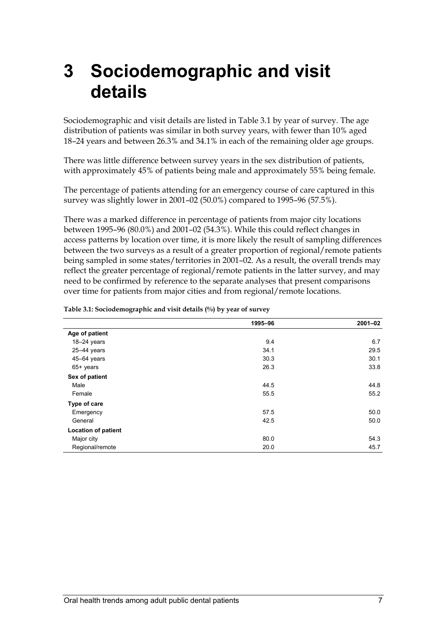# **3 Sociodemographic and visit details**

Sociodemographic and visit details are listed in Table 3.1 by year of survey. The age distribution of patients was similar in both survey years, with fewer than 10% aged 18–24 years and between 26.3% and 34.1% in each of the remaining older age groups.

There was little difference between survey years in the sex distribution of patients, with approximately 45% of patients being male and approximately 55% being female.

The percentage of patients attending for an emergency course of care captured in this survey was slightly lower in 2001–02 (50.0%) compared to 1995–96 (57.5%).

There was a marked difference in percentage of patients from major city locations between 1995–96 (80.0%) and 2001–02 (54.3%). While this could reflect changes in access patterns by location over time, it is more likely the result of sampling differences between the two surveys as a result of a greater proportion of regional/remote patients being sampled in some states/territories in 2001–02. As a result, the overall trends may reflect the greater percentage of regional/remote patients in the latter survey, and may need to be confirmed by reference to the separate analyses that present comparisons over time for patients from major cities and from regional/remote locations.

|                            | 1995-96 | $2001 - 02$ |
|----------------------------|---------|-------------|
| Age of patient             |         |             |
| $18-24$ years              | 9.4     | 6.7         |
| 25-44 years                | 34.1    | 29.5        |
| $45 - 64$ years            | 30.3    | 30.1        |
| 65+ years                  | 26.3    | 33.8        |
| Sex of patient             |         |             |
| Male                       | 44.5    | 44.8        |
| Female                     | 55.5    | 55.2        |
| Type of care               |         |             |
| Emergency                  | 57.5    | 50.0        |
| General                    | 42.5    | 50.0        |
| <b>Location of patient</b> |         |             |
| Major city                 | 80.0    | 54.3        |
| Regional/remote            | 20.0    | 45.7        |

#### **Table 3.1: Sociodemographic and visit details (%) by year of survey**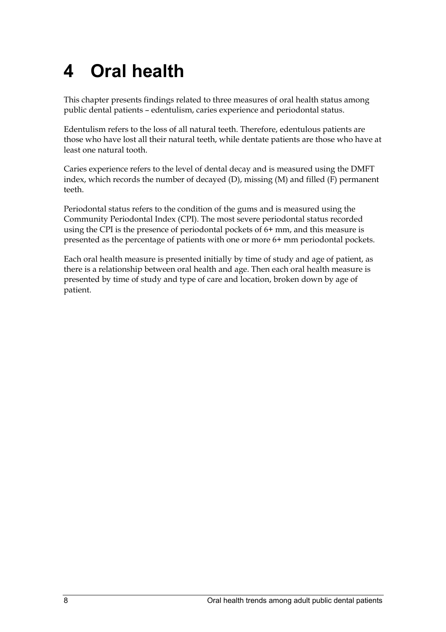# **4 Oral health**

This chapter presents findings related to three measures of oral health status among public dental patients – edentulism, caries experience and periodontal status.

Edentulism refers to the loss of all natural teeth. Therefore, edentulous patients are those who have lost all their natural teeth, while dentate patients are those who have at least one natural tooth.

Caries experience refers to the level of dental decay and is measured using the DMFT index, which records the number of decayed (D), missing (M) and filled (F) permanent teeth.

Periodontal status refers to the condition of the gums and is measured using the Community Periodontal Index (CPI). The most severe periodontal status recorded using the CPI is the presence of periodontal pockets of 6+ mm, and this measure is presented as the percentage of patients with one or more 6+ mm periodontal pockets.

Each oral health measure is presented initially by time of study and age of patient, as there is a relationship between oral health and age. Then each oral health measure is presented by time of study and type of care and location, broken down by age of patient.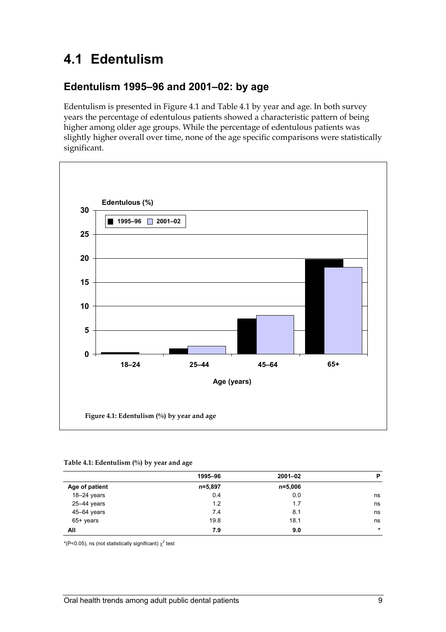### **4.1 Edentulism**

#### **Edentulism 1995–96 and 2001–02: by age**

Edentulism is presented in Figure 4.1 and Table 4.1 by year and age. In both survey years the percentage of edentulous patients showed a characteristic pattern of being higher among older age groups. While the percentage of edentulous patients was slightly higher overall over time, none of the age specific comparisons were statistically significant.



#### **Table 4.1: Edentulism (%) by year and age**

|                 | 1995-96 | $2001 - 02$ | P       |
|-----------------|---------|-------------|---------|
| Age of patient  | n=5,897 | $n = 5,006$ |         |
| $18-24$ years   | 0.4     | 0.0         | ns      |
| $25 - 44$ years | 1.2     | 1.7         | ns      |
| 45-64 years     | 7.4     | 8.1         | ns      |
| 65+ years       | 19.8    | 18.1        | ns      |
| All             | 7.9     | 9.0         | $\star$ |

\*(P<0.05), ns (not statistically significant)  $\chi^2$  test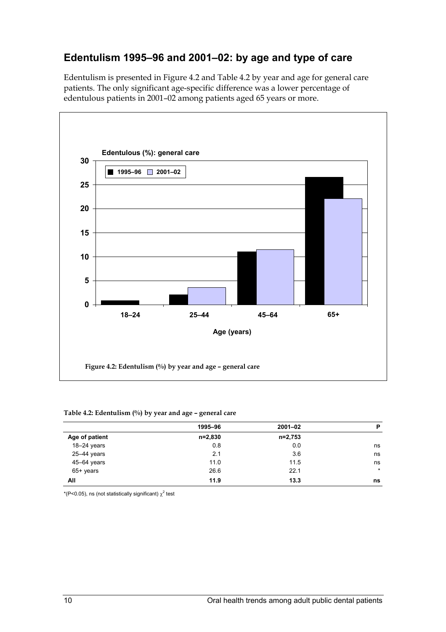### **Edentulism 1995–96 and 2001–02: by age and type of care**

Edentulism is presented in Figure 4.2 and Table 4.2 by year and age for general care patients. The only significant age-specific difference was a lower percentage of edentulous patients in 2001–02 among patients aged 65 years or more.



#### **Table 4.2: Edentulism (%) by year and age – general care**

|                 | 1995-96   | $2001 - 02$ | P       |
|-----------------|-----------|-------------|---------|
| Age of patient  | $n=2,830$ | n=2,753     |         |
| $18-24$ years   | 0.8       | 0.0         | ns      |
| $25 - 44$ years | 2.1       | 3.6         | ns      |
| 45-64 years     | 11.0      | 11.5        | ns      |
| $65+$ years     | 26.6      | 22.1        | $\star$ |
| All             | 11.9      | 13.3        | ns      |
|                 |           |             |         |

\*(P<0.05), ns (not statistically significant)  $\chi^2$  test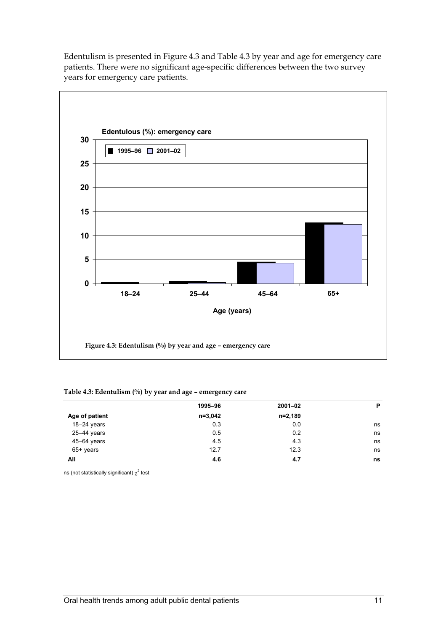Edentulism is presented in Figure 4.3 and Table 4.3 by year and age for emergency care patients. There were no significant age-specific differences between the two survey years for emergency care patients.



#### **Table 4.3: Edentulism (%) by year and age – emergency care**

|                | 1995-96     | $2001 - 02$ | P  |
|----------------|-------------|-------------|----|
| Age of patient | $n = 3,042$ | $n=2,189$   |    |
| 18-24 years    | 0.3         | 0.0         | ns |
| 25-44 years    | 0.5         | 0.2         | ns |
| 45-64 years    | 4.5         | 4.3         | ns |
| $65+$ years    | 12.7        | 12.3        | ns |
| All            | 4.6         | 4.7         | ns |

ns (not statistically significant)  $\chi^2$  test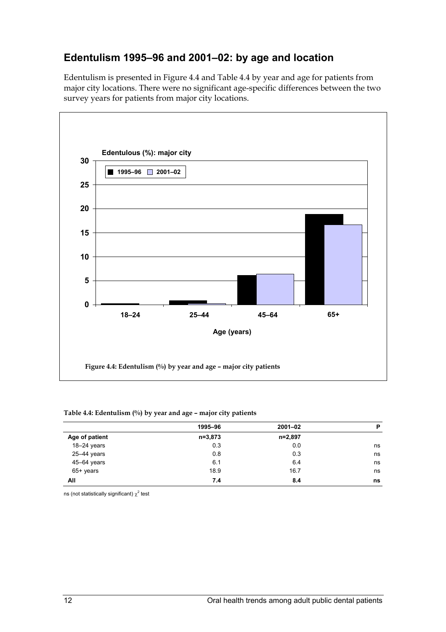### **Edentulism 1995–96 and 2001–02: by age and location**

Edentulism is presented in Figure 4.4 and Table 4.4 by year and age for patients from major city locations. There were no significant age-specific differences between the two survey years for patients from major city locations.



#### **Table 4.4: Edentulism (%) by year and age – major city patients**

|                | 1995-96   | $2001 - 02$ | P  |
|----------------|-----------|-------------|----|
| Age of patient | $n=3,873$ | n=2,897     |    |
| $18-24$ years  | 0.3       | 0.0         | ns |
| 25-44 years    | 0.8       | 0.3         | ns |
| 45-64 years    | 6.1       | 6.4         | ns |
| $65+$ years    | 18.9      | 16.7        | ns |
| All            | 7.4       | 8.4         | ns |

ns (not statistically significant)  $\chi^2$  test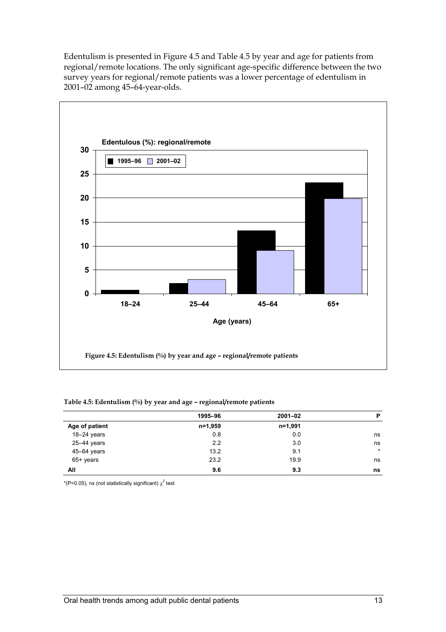Edentulism is presented in Figure 4.5 and Table 4.5 by year and age for patients from regional/remote locations. The only significant age-specific difference between the two survey years for regional/remote patients was a lower percentage of edentulism in 2001–02 among 45–64-year-olds.



#### **Table 4.5: Edentulism (%) by year and age – regional/remote patients**

|                 | 1995-96 | $2001 - 02$ | P       |
|-----------------|---------|-------------|---------|
| Age of patient  | n=1,959 | n=1,991     |         |
| $18-24$ years   | 0.8     | 0.0         | ns      |
| 25-44 years     | 2.2     | 3.0         | ns      |
| $45 - 64$ years | 13.2    | 9.1         | $\star$ |
| $65+$ years     | 23.2    | 19.9        | ns      |
| All             | 9.6     | 9.3         | ns      |

\*(P<0.05), ns (not statistically significant)  $\chi^2$  test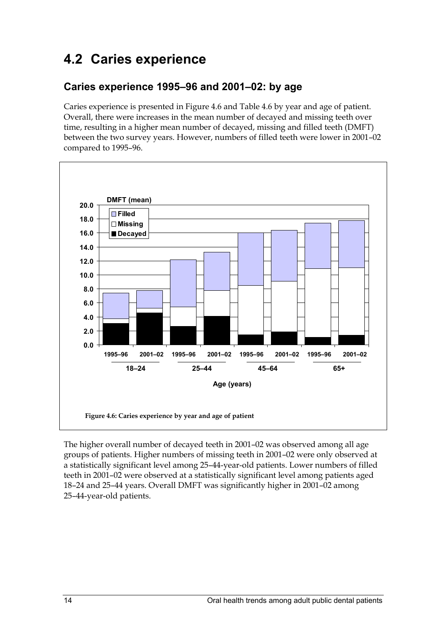### **4.2 Caries experience**

#### **Caries experience 1995–96 and 2001–02: by age**

Caries experience is presented in Figure 4.6 and Table 4.6 by year and age of patient. Overall, there were increases in the mean number of decayed and missing teeth over time, resulting in a higher mean number of decayed, missing and filled teeth (DMFT) between the two survey years. However, numbers of filled teeth were lower in 2001–02 compared to 1995–96.



The higher overall number of decayed teeth in 2001–02 was observed among all age groups of patients. Higher numbers of missing teeth in 2001–02 were only observed at a statistically significant level among 25–44-year-old patients. Lower numbers of filled teeth in 2001–02 were observed at a statistically significant level among patients aged 18–24 and 25–44 years. Overall DMFT was significantly higher in 2001–02 among 25–44-year-old patients.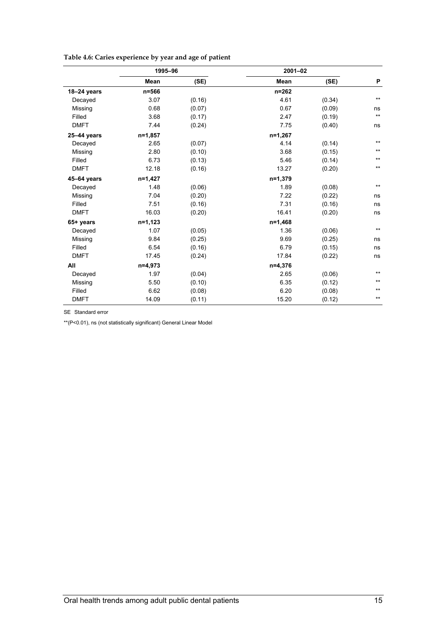|             | 1995-96   |        | $2001 - 02$ |        |                 |  |
|-------------|-----------|--------|-------------|--------|-----------------|--|
|             | Mean      | (SE)   | Mean        | (SE)   | P               |  |
| 18-24 years | n=566     |        | $n = 262$   |        |                 |  |
| Decayed     | 3.07      | (0.16) | 4.61        | (0.34) | $***$           |  |
| Missing     | 0.68      | (0.07) | 0.67        | (0.09) | ns              |  |
| Filled      | 3.68      | (0.17) | 2.47        | (0.19) | $^{\star\star}$ |  |
| <b>DMFT</b> | 7.44      | (0.24) | 7.75        | (0.40) | ns              |  |
| 25-44 years | n=1,857   |        | $n=1,267$   |        |                 |  |
| Decayed     | 2.65      | (0.07) | 4.14        | (0.14) | $\star\star$    |  |
| Missing     | 2.80      | (0.10) | 3.68        | (0.15) | $***$           |  |
| Filled      | 6.73      | (0.13) | 5.46        | (0.14) | $^{\star\star}$ |  |
| <b>DMFT</b> | 12.18     | (0.16) | 13.27       | (0.20) | $***$           |  |
| 45-64 years | n=1,427   |        | $n=1,379$   |        |                 |  |
| Decayed     | 1.48      | (0.06) | 1.89        | (0.08) | $***$           |  |
| Missing     | 7.04      | (0.20) | 7.22        | (0.22) | ns              |  |
| Filled      | 7.51      | (0.16) | 7.31        | (0.16) | ns              |  |
| <b>DMFT</b> | 16.03     | (0.20) | 16.41       | (0.20) | ns              |  |
| 65+ years   | $n=1,123$ |        | n=1,468     |        |                 |  |
| Decayed     | 1.07      | (0.05) | 1.36        | (0.06) | $***$           |  |
| Missing     | 9.84      | (0.25) | 9.69        | (0.25) | ns              |  |
| Filled      | 6.54      | (0.16) | 6.79        | (0.15) | ns              |  |
| <b>DMFT</b> | 17.45     | (0.24) | 17.84       | (0.22) | ns              |  |
| All         | n=4,973   |        | $n=4,376$   |        |                 |  |
| Decayed     | 1.97      | (0.04) | 2.65        | (0.06) | $***$           |  |
| Missing     | 5.50      | (0.10) | 6.35        | (0.12) | $***$           |  |
| Filled      | 6.62      | (0.08) | 6.20        | (0.08) | $***$           |  |
| <b>DMFT</b> | 14.09     | (0.11) | 15.20       | (0.12) | $***$           |  |

#### **Table 4.6: Caries experience by year and age of patient**

SE Standard error

\*\*(P<0.01), ns (not statistically significant) General Linear Model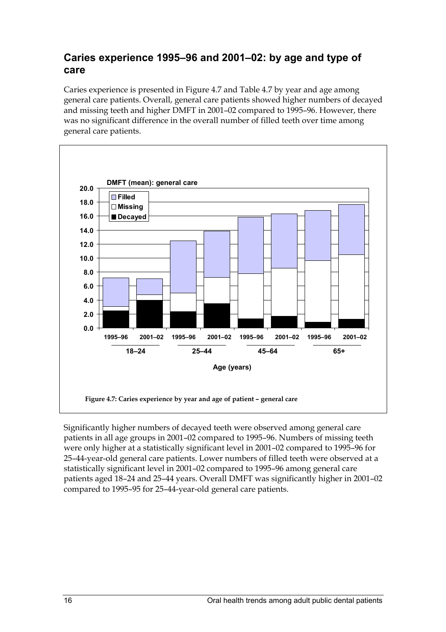#### **Caries experience 1995–96 and 2001–02: by age and type of care**

Caries experience is presented in Figure 4.7 and Table 4.7 by year and age among general care patients. Overall, general care patients showed higher numbers of decayed and missing teeth and higher DMFT in 2001–02 compared to 1995–96. However, there was no significant difference in the overall number of filled teeth over time among general care patients.



Significantly higher numbers of decayed teeth were observed among general care patients in all age groups in 2001–02 compared to 1995–96. Numbers of missing teeth were only higher at a statistically significant level in 2001–02 compared to 1995–96 for 25–44-year-old general care patients. Lower numbers of filled teeth were observed at a statistically significant level in 2001–02 compared to 1995–96 among general care patients aged 18–24 and 25–44 years. Overall DMFT was significantly higher in 2001–02 compared to 1995–95 for 25–44-year-old general care patients.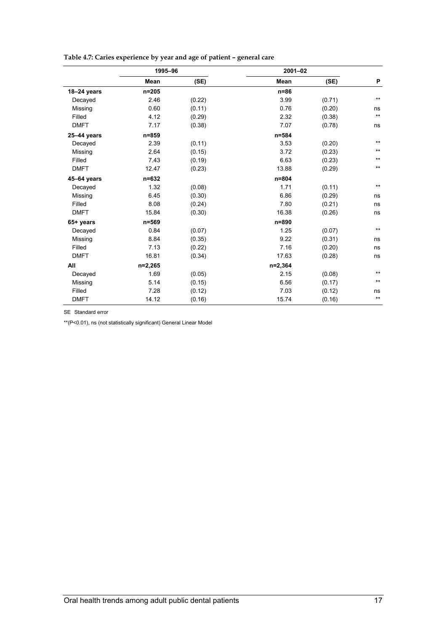|                 | 1995-96     |        | $2001 - 02$ |        |              |
|-----------------|-------------|--------|-------------|--------|--------------|
|                 | <b>Mean</b> | (SE)   | Mean        | (SE)   | P            |
| 18-24 years     | $n = 205$   |        | $n = 86$    |        |              |
| Decayed         | 2.46        | (0.22) | 3.99        | (0.71) | $***$        |
| Missing         | 0.60        | (0.11) | 0.76        | (0.20) | ns           |
| Filled          | 4.12        | (0.29) | 2.32        | (0.38) | $\star\star$ |
| <b>DMFT</b>     | 7.17        | (0.38) | 7.07        | (0.78) | ns           |
| $25 - 44$ years | $n = 859$   |        | $n = 584$   |        |              |
| Decayed         | 2.39        | (0.11) | 3.53        | (0.20) | $***$        |
| Missing         | 2.64        | (0.15) | 3.72        | (0.23) | $***$        |
| Filled          | 7.43        | (0.19) | 6.63        | (0.23) | $***$        |
| <b>DMFT</b>     | 12.47       | (0.23) | 13.88       | (0.29) | $***$        |
| 45-64 years     | $n = 632$   |        | $n = 804$   |        |              |
| Decayed         | 1.32        | (0.08) | 1.71        | (0.11) | $\star\star$ |
| Missing         | 6.45        | (0.30) | 6.86        | (0.29) | ns           |
| Filled          | 8.08        | (0.24) | 7.80        | (0.21) | ns           |
| <b>DMFT</b>     | 15.84       | (0.30) | 16.38       | (0.26) | ns           |
| 65+ years       | $n = 569$   |        | n=890       |        |              |
| Decayed         | 0.84        | (0.07) | 1.25        | (0.07) | $\star\star$ |
| Missing         | 8.84        | (0.35) | 9.22        | (0.31) | ns           |
| Filled          | 7.13        | (0.22) | 7.16        | (0.20) | ns           |
| <b>DMFT</b>     | 16.81       | (0.34) | 17.63       | (0.28) | ns           |
| All             | $n=2,265$   |        | $n=2,364$   |        |              |
| Decayed         | 1.69        | (0.05) | 2.15        | (0.08) | $***$        |
| Missing         | 5.14        | (0.15) | 6.56        | (0.17) | $***$        |
| Filled          | 7.28        | (0.12) | 7.03        | (0.12) | ns           |
| <b>DMFT</b>     | 14.12       | (0.16) | 15.74       | (0.16) | $***$        |

#### **Table 4.7: Caries experience by year and age of patient – general care**

SE Standard error

\*\*(P<0.01), ns (not statistically significant) General Linear Model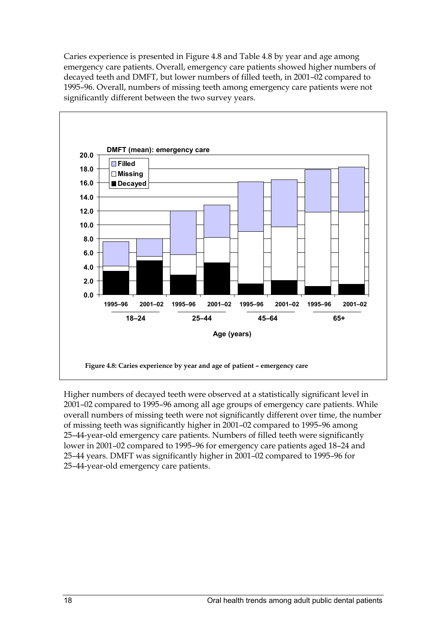Caries experience is presented in Figure 4.8 and Table 4.8 by year and age among emergency care patients. Overall, emergency care patients showed higher numbers of decayed teeth and DMFT, but lower numbers of filled teeth, in 2001–02 compared to 1995–96. Overall, numbers of missing teeth among emergency care patients were not significantly different between the two survey years.



Higher numbers of decayed teeth were observed at a statistically significant level in 2001–02 compared to 1995–96 among all age groups of emergency care patients. While overall numbers of missing teeth were not significantly different over time, the number of missing teeth was significantly higher in 2001–02 compared to 1995–96 among 25–44-year-old emergency care patients. Numbers of filled teeth were significantly lower in 2001–02 compared to 1995–96 for emergency care patients aged 18–24 and 25–44 years. DMFT was significantly higher in 2001–02 compared to 1995–96 for 25–44-year-old emergency care patients.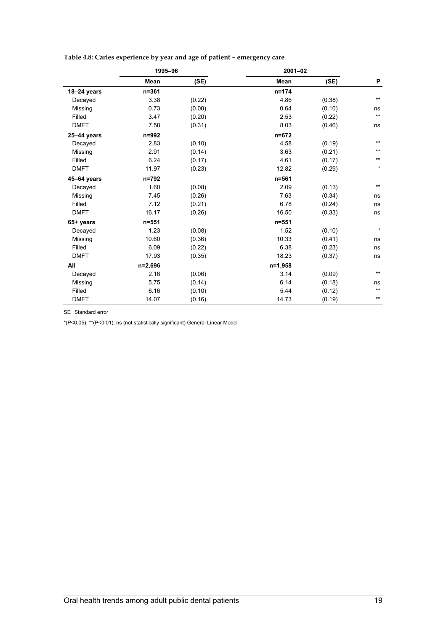|                 | 1995-96   |        | 2001-02   |        |                 |
|-----------------|-----------|--------|-----------|--------|-----------------|
|                 | Mean      | (SE)   | Mean      | (SE)   | P               |
| 18-24 years     | $n = 361$ |        | $n = 174$ |        |                 |
| Decayed         | 3.38      | (0.22) | 4.86      | (0.38) | $***$           |
| Missing         | 0.73      | (0.08) | 0.64      | (0.10) | ns              |
| Filled          | 3.47      | (0.20) | 2.53      | (0.22) | $^{\star\star}$ |
| <b>DMFT</b>     | 7.58      | (0.31) | 8.03      | (0.46) | ns              |
| $25 - 44$ years | n=992     |        | $n = 672$ |        |                 |
| Decayed         | 2.83      | (0.10) | 4.58      | (0.19) | $\star\star$    |
| Missing         | 2.91      | (0.14) | 3.63      | (0.21) | $***$           |
| Filled          | 6.24      | (0.17) | 4.61      | (0.17) | $\star\star$    |
| <b>DMFT</b>     | 11.97     | (0.23) | 12.82     | (0.29) | $\star$         |
| 45-64 years     | $n = 792$ |        | $n = 561$ |        |                 |
| Decayed         | 1.60      | (0.08) | 2.09      | (0.13) | $\star\star$    |
| Missing         | 7.45      | (0.26) | 7.63      | (0.34) | ns              |
| Filled          | 7.12      | (0.21) | 6.78      | (0.24) | ns              |
| <b>DMFT</b>     | 16.17     | (0.26) | 16.50     | (0.33) | ns              |
| 65+ years       | $n = 551$ |        | $n = 551$ |        |                 |
| Decayed         | 1.23      | (0.08) | 1.52      | (0.10) | $\star$         |
| Missing         | 10.60     | (0.36) | 10.33     | (0.41) | ns              |
| Filled          | 6.09      | (0.22) | 6.38      | (0.23) | ns              |
| <b>DMFT</b>     | 17.93     | (0.35) | 18.23     | (0.37) | ns              |
| All             | $n=2,696$ |        | $n=1,958$ |        |                 |
| Decayed         | 2.16      | (0.06) | 3.14      | (0.09) | $***$           |
| Missing         | 5.75      | (0.14) | 6.14      | (0.18) | ns              |
| Filled          | 6.16      | (0.10) | 5.44      | (0.12) | $\star\star$    |
| <b>DMFT</b>     | 14.07     | (0.16) | 14.73     | (0.19) | $***$           |

**Table 4.8: Caries experience by year and age of patient – emergency care** 

SE Standard error

\*(P<0.05), \*\*(P<0.01), ns (not statistically significant) General Linear Model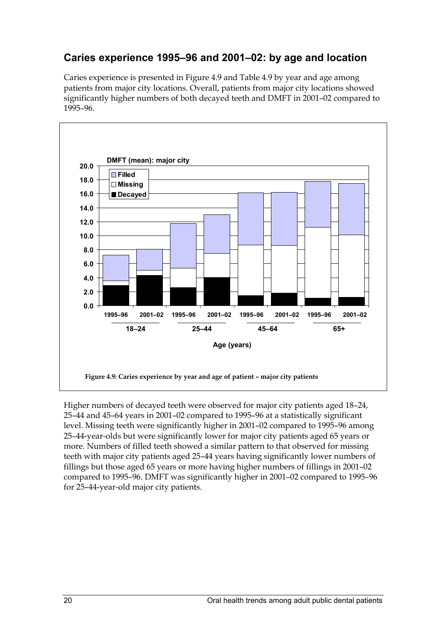### **Caries experience 1995–96 and 2001–02: by age and location**

Caries experience is presented in Figure 4.9 and Table 4.9 by year and age among patients from major city locations. Overall, patients from major city locations showed significantly higher numbers of both decayed teeth and DMFT in 2001–02 compared to 1995–96.



Higher numbers of decayed teeth were observed for major city patients aged 18–24, 25–44 and 45–64 years in 2001–02 compared to 1995–96 at a statistically significant level. Missing teeth were significantly higher in 2001–02 compared to 1995–96 among 25–44-year-olds but were significantly lower for major city patients aged 65 years or more. Numbers of filled teeth showed a similar pattern to that observed for missing teeth with major city patients aged 25–44 years having significantly lower numbers of fillings but those aged 65 years or more having higher numbers of fillings in 2001–02 compared to 1995–96. DMFT was significantly higher in 2001–02 compared to 1995–96 for 25–44-year-old major city patients.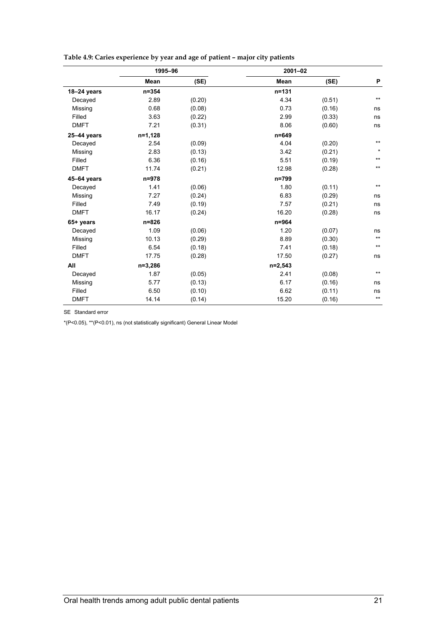|             | 1995-96   |        | $2001 - 02$ |        |                 |
|-------------|-----------|--------|-------------|--------|-----------------|
|             | Mean      | (SE)   | <b>Mean</b> | (SE)   | P               |
| 18-24 years | $n = 354$ |        | $n = 131$   |        |                 |
| Decayed     | 2.89      | (0.20) | 4.34        | (0.51) | $***$           |
| Missing     | 0.68      | (0.08) | 0.73        | (0.16) | ns              |
| Filled      | 3.63      | (0.22) | 2.99        | (0.33) | ns              |
| <b>DMFT</b> | 7.21      | (0.31) | 8.06        | (0.60) | ns              |
| 25-44 years | n=1,128   |        | $n = 649$   |        |                 |
| Decayed     | 2.54      | (0.09) | 4.04        | (0.20) | $***$           |
| Missing     | 2.83      | (0.13) | 3.42        | (0.21) | $\star$         |
| Filled      | 6.36      | (0.16) | 5.51        | (0.19) | $***$           |
| <b>DMFT</b> | 11.74     | (0.21) | 12.98       | (0.28) | $\star\star$    |
| 45-64 years | $n = 978$ |        | n=799       |        |                 |
| Decayed     | 1.41      | (0.06) | 1.80        | (0.11) | $\star\star$    |
| Missing     | 7.27      | (0.24) | 6.83        | (0.29) | ns              |
| Filled      | 7.49      | (0.19) | 7.57        | (0.21) | ns              |
| <b>DMFT</b> | 16.17     | (0.24) | 16.20       | (0.28) | ns              |
| 65+ years   | n=826     |        | n=964       |        |                 |
| Decayed     | 1.09      | (0.06) | 1.20        | (0.07) | ns              |
| Missing     | 10.13     | (0.29) | 8.89        | (0.30) | $^{\star\star}$ |
| Filled      | 6.54      | (0.18) | 7.41        | (0.18) | $^{\star\star}$ |
| <b>DMFT</b> | 17.75     | (0.28) | 17.50       | (0.27) | ns              |
| All         | $n=3,286$ |        | $n=2,543$   |        |                 |
| Decayed     | 1.87      | (0.05) | 2.41        | (0.08) | $***$           |
| Missing     | 5.77      | (0.13) | 6.17        | (0.16) | ns              |
| Filled      | 6.50      | (0.10) | 6.62        | (0.11) | ns              |
| <b>DMFT</b> | 14.14     | (0.14) | 15.20       | (0.16) | $^{\star\star}$ |

#### **Table 4.9: Caries experience by year and age of patient – major city patients**

SE Standard error

\*(P<0.05), \*\*(P<0.01), ns (not statistically significant) General Linear Model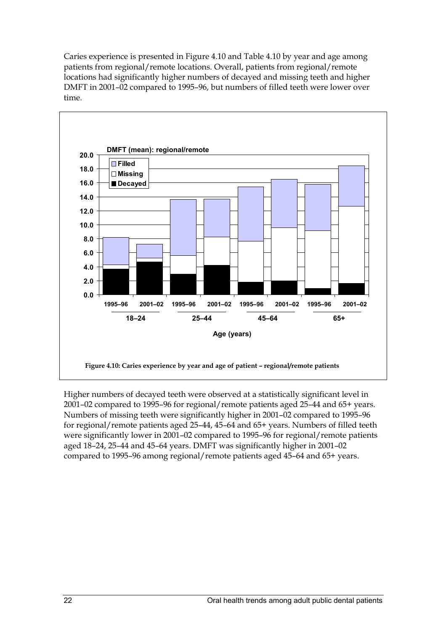Caries experience is presented in Figure 4.10 and Table 4.10 by year and age among patients from regional/remote locations. Overall, patients from regional/remote locations had significantly higher numbers of decayed and missing teeth and higher DMFT in 2001–02 compared to 1995–96, but numbers of filled teeth were lower over time.



Higher numbers of decayed teeth were observed at a statistically significant level in 2001–02 compared to 1995–96 for regional/remote patients aged 25–44 and 65+ years. Numbers of missing teeth were significantly higher in 2001–02 compared to 1995–96 for regional/remote patients aged 25–44, 45–64 and 65+ years. Numbers of filled teeth were significantly lower in 2001–02 compared to 1995–96 for regional/remote patients aged 18–24, 25–44 and 45–64 years. DMFT was significantly higher in 2001–02 compared to 1995–96 among regional/remote patients aged 45–64 and 65+ years.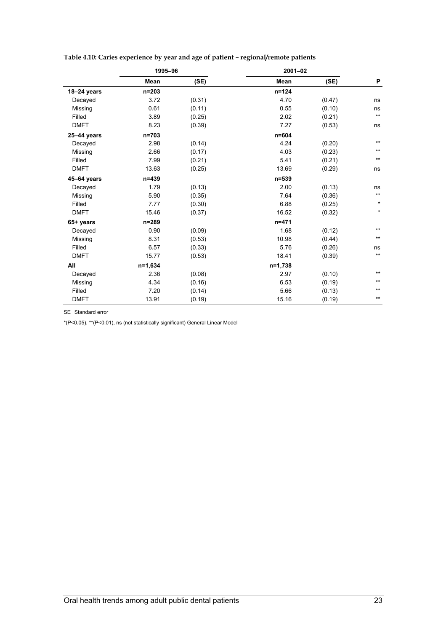|                 | 1995-96     |        |             | 2001-02 |                 |
|-----------------|-------------|--------|-------------|---------|-----------------|
|                 | <b>Mean</b> | (SE)   | <b>Mean</b> | (SE)    | P               |
| 18-24 years     | $n = 203$   |        | $n = 124$   |         |                 |
| Decayed         | 3.72        | (0.31) | 4.70        | (0.47)  | ns              |
| Missing         | 0.61        | (0.11) | 0.55        | (0.10)  | ns              |
| Filled          | 3.89        | (0.25) | 2.02        | (0.21)  | $^{\star\star}$ |
| <b>DMFT</b>     | 8.23        | (0.39) | 7.27        | (0.53)  | ns              |
| $25 - 44$ years | $n = 703$   |        | $n = 604$   |         |                 |
| Decayed         | 2.98        | (0.14) | 4.24        | (0.20)  | $\star\star$    |
| Missing         | 2.66        | (0.17) | 4.03        | (0.23)  | $***$           |
| Filled          | 7.99        | (0.21) | 5.41        | (0.21)  | $^{\star\star}$ |
| <b>DMFT</b>     | 13.63       | (0.25) | 13.69       | (0.29)  | ns              |
| 45-64 years     | $n = 439$   |        | $n = 539$   |         |                 |
| Decayed         | 1.79        | (0.13) | 2.00        | (0.13)  | ns              |
| Missing         | 5.90        | (0.35) | 7.64        | (0.36)  | $^{\star\star}$ |
| Filled          | 7.77        | (0.30) | 6.88        | (0.25)  | $\star$         |
| <b>DMFT</b>     | 15.46       | (0.37) | 16.52       | (0.32)  | $\star$         |
| 65+ years       | $n = 289$   |        | $n = 471$   |         |                 |
| Decayed         | 0.90        | (0.09) | 1.68        | (0.12)  | $***$           |
| Missing         | 8.31        | (0.53) | 10.98       | (0.44)  | $^{\star\star}$ |
| Filled          | 6.57        | (0.33) | 5.76        | (0.26)  | ns              |
| <b>DMFT</b>     | 15.77       | (0.53) | 18.41       | (0.39)  | $\star\star$    |
| All             | $n=1,634$   |        | n=1,738     |         |                 |
| Decayed         | 2.36        | (0.08) | 2.97        | (0.10)  | $\star\star$    |
| Missing         | 4.34        | (0.16) | 6.53        | (0.19)  | $***$           |
| Filled          | 7.20        | (0.14) | 5.66        | (0.13)  | $***$           |
| <b>DMFT</b>     | 13.91       | (0.19) | 15.16       | (0.19)  | $***$           |

**Table 4.10: Caries experience by year and age of patient – regional/remote patients** 

SE Standard error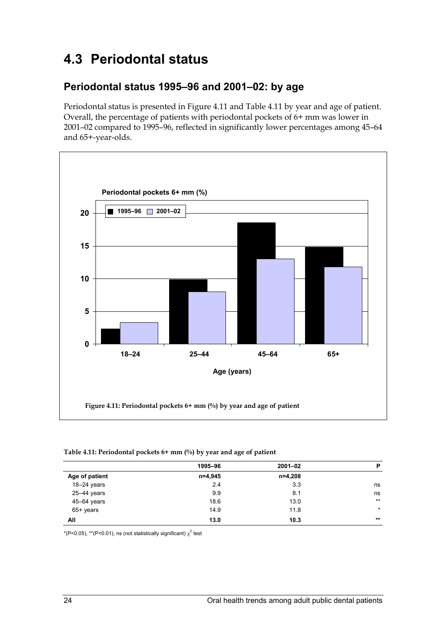## **4.3 Periodontal status**

#### **Periodontal status 1995–96 and 2001–02: by age**

Periodontal status is presented in Figure 4.11 and Table 4.11 by year and age of patient. Overall, the percentage of patients with periodontal pockets of 6+ mm was lower in 2001–02 compared to 1995–96, reflected in significantly lower percentages among 45–64 and 65+-year-olds.



#### **Table 4.11: Periodontal pockets 6+ mm (%) by year and age of patient**

|                 | 1995-96 | $2001 - 02$ | P       |
|-----------------|---------|-------------|---------|
| Age of patient  | n=4,945 | n=4,208     |         |
| $18-24$ years   | 2.4     | 3.3         | ns      |
| $25 - 44$ years | 9.9     | 8.1         | ns      |
| 45-64 years     | 18.6    | 13.0        | $***$   |
| $65+$ years     | 14.9    | 11.8        | $\star$ |
| All             | 13.0    | 10.3        | $***$   |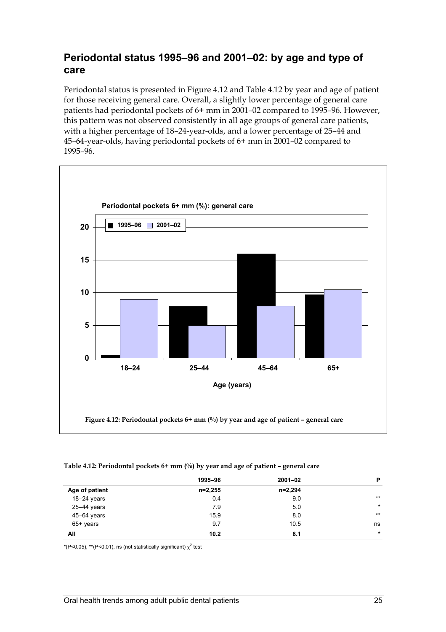#### **Periodontal status 1995–96 and 2001–02: by age and type of care**

Periodontal status is presented in Figure 4.12 and Table 4.12 by year and age of patient for those receiving general care. Overall, a slightly lower percentage of general care patients had periodontal pockets of 6+ mm in 2001–02 compared to 1995–96. However, this pattern was not observed consistently in all age groups of general care patients, with a higher percentage of 18–24-year-olds, and a lower percentage of 25–44 and 45–64-year-olds, having periodontal pockets of 6+ mm in 2001–02 compared to 1995–96.



#### **Table 4.12: Periodontal pockets 6+ mm (%) by year and age of patient – general care**

|                | 1995-96   | $2001 - 02$ | P       |
|----------------|-----------|-------------|---------|
| Age of patient | $n=2,255$ | n=2,294     |         |
| $18-24$ years  | 0.4       | 9.0         | $***$   |
| 25-44 years    | 7.9       | 5.0         | $\star$ |
| 45-64 years    | 15.9      | 8.0         | $***$   |
| $65+$ years    | 9.7       | 10.5        | ns      |
| All            | 10.2      | 8.1         | $\star$ |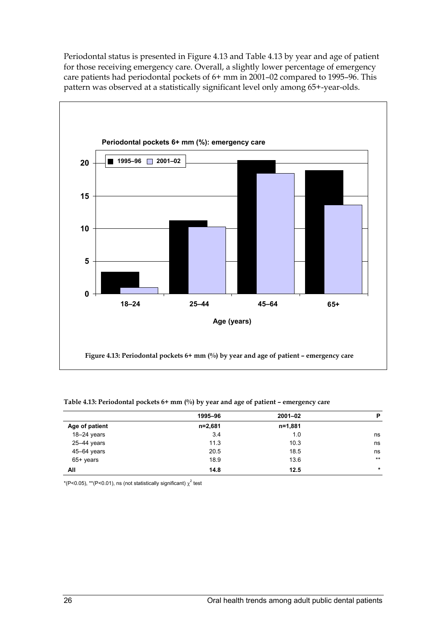Periodontal status is presented in Figure 4.13 and Table 4.13 by year and age of patient for those receiving emergency care. Overall, a slightly lower percentage of emergency care patients had periodontal pockets of 6+ mm in 2001–02 compared to 1995–96. This pattern was observed at a statistically significant level only among 65+-year-olds.



|                | 1995-96 | $2001 - 02$ | P       |
|----------------|---------|-------------|---------|
| Age of patient | n=2,681 | n=1,881     |         |
| $18-24$ years  | 3.4     | 1.0         | ns      |
| 25-44 years    | 11.3    | 10.3        | ns      |
| 45-64 years    | 20.5    | 18.5        | ns      |
| $65+$ years    | 18.9    | 13.6        | $***$   |
| All            | 14.8    | 12.5        | $\star$ |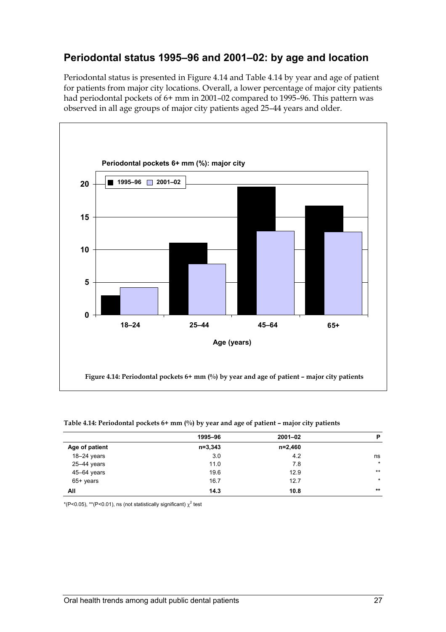### **Periodontal status 1995–96 and 2001–02: by age and location**

Periodontal status is presented in Figure 4.14 and Table 4.14 by year and age of patient for patients from major city locations. Overall, a lower percentage of major city patients had periodontal pockets of 6+ mm in 2001–02 compared to 1995–96. This pattern was observed in all age groups of major city patients aged 25–44 years and older.



|                 | 1995-96     | $2001 - 02$ | P       |
|-----------------|-------------|-------------|---------|
| Age of patient  | $n = 3,343$ | $n=2,460$   |         |
| $18-24$ years   | 3.0         | 4.2         | ns      |
| $25 - 44$ years | 11.0        | 7.8         | $\star$ |
| 45-64 years     | 19.6        | 12.9        | $***$   |
| 65+ years       | 16.7        | 12.7        | $\star$ |
| All             | 14.3        | 10.8        | $***$   |
|                 |             |             |         |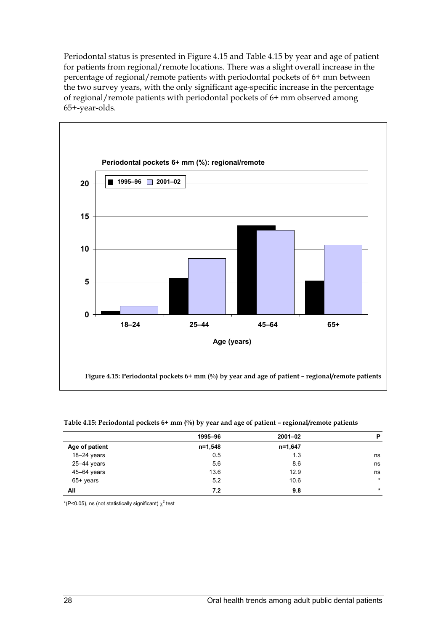Periodontal status is presented in Figure 4.15 and Table 4.15 by year and age of patient for patients from regional/remote locations. There was a slight overall increase in the percentage of regional/remote patients with periodontal pockets of 6+ mm between the two survey years, with the only significant age-specific increase in the percentage of regional/remote patients with periodontal pockets of 6+ mm observed among 65+-year-olds.



|                 | 1995-96 | $2001 - 02$ | P       |
|-----------------|---------|-------------|---------|
| Age of patient  | n=1,548 | n=1,647     |         |
| 18-24 years     | 0.5     | 1.3         | ns      |
| 25-44 years     | 5.6     | 8.6         | ns      |
| $45 - 64$ years | 13.6    | 12.9        | ns      |
| $65+$ years     | 5.2     | 10.6        | $\star$ |
| All             | 7.2     | 9.8         | $\star$ |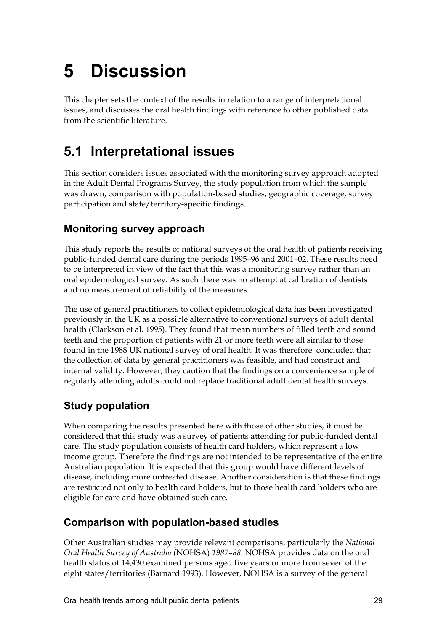# **5 Discussion**

This chapter sets the context of the results in relation to a range of interpretational issues, and discusses the oral health findings with reference to other published data from the scientific literature.

### **5.1 Interpretational issues**

This section considers issues associated with the monitoring survey approach adopted in the Adult Dental Programs Survey, the study population from which the sample was drawn, comparison with population-based studies, geographic coverage, survey participation and state/territory-specific findings.

#### **Monitoring survey approach**

This study reports the results of national surveys of the oral health of patients receiving public-funded dental care during the periods 1995–96 and 2001–02. These results need to be interpreted in view of the fact that this was a monitoring survey rather than an oral epidemiological survey. As such there was no attempt at calibration of dentists and no measurement of reliability of the measures.

The use of general practitioners to collect epidemiological data has been investigated previously in the UK as a possible alternative to conventional surveys of adult dental health (Clarkson et al. 1995). They found that mean numbers of filled teeth and sound teeth and the proportion of patients with 21 or more teeth were all similar to those found in the 1988 UK national survey of oral health. It was therefore concluded that the collection of data by general practitioners was feasible, and had construct and internal validity. However, they caution that the findings on a convenience sample of regularly attending adults could not replace traditional adult dental health surveys.

#### **Study population**

When comparing the results presented here with those of other studies, it must be considered that this study was a survey of patients attending for public-funded dental care. The study population consists of health card holders, which represent a low income group. Therefore the findings are not intended to be representative of the entire Australian population. It is expected that this group would have different levels of disease, including more untreated disease. Another consideration is that these findings are restricted not only to health card holders, but to those health card holders who are eligible for care and have obtained such care.

#### **Comparison with population-based studies**

Other Australian studies may provide relevant comparisons, particularly the *National Oral Health Survey of Australia* (NOHSA) *1987–88*. NOHSA provides data on the oral health status of 14,430 examined persons aged five years or more from seven of the eight states/territories (Barnard 1993). However, NOHSA is a survey of the general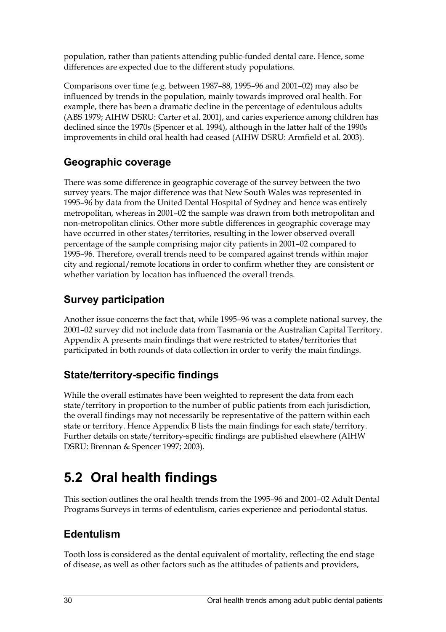population, rather than patients attending public-funded dental care. Hence, some differences are expected due to the different study populations.

Comparisons over time (e.g. between 1987–88, 1995–96 and 2001–02) may also be influenced by trends in the population, mainly towards improved oral health. For example, there has been a dramatic decline in the percentage of edentulous adults (ABS 1979; AIHW DSRU: Carter et al. 2001), and caries experience among children has declined since the 1970s (Spencer et al. 1994), although in the latter half of the 1990s improvements in child oral health had ceased (AIHW DSRU: Armfield et al. 2003).

### **Geographic coverage**

There was some difference in geographic coverage of the survey between the two survey years. The major difference was that New South Wales was represented in 1995–96 by data from the United Dental Hospital of Sydney and hence was entirely metropolitan, whereas in 2001–02 the sample was drawn from both metropolitan and non-metropolitan clinics. Other more subtle differences in geographic coverage may have occurred in other states/territories, resulting in the lower observed overall percentage of the sample comprising major city patients in 2001–02 compared to 1995–96. Therefore, overall trends need to be compared against trends within major city and regional/remote locations in order to confirm whether they are consistent or whether variation by location has influenced the overall trends.

### **Survey participation**

Another issue concerns the fact that, while 1995–96 was a complete national survey, the 2001–02 survey did not include data from Tasmania or the Australian Capital Territory. Appendix A presents main findings that were restricted to states/territories that participated in both rounds of data collection in order to verify the main findings.

### **State/territory-specific findings**

While the overall estimates have been weighted to represent the data from each state/territory in proportion to the number of public patients from each jurisdiction, the overall findings may not necessarily be representative of the pattern within each state or territory. Hence Appendix B lists the main findings for each state/territory. Further details on state/territory-specific findings are published elsewhere (AIHW DSRU: Brennan & Spencer 1997; 2003).

# **5.2 Oral health findings**

This section outlines the oral health trends from the 1995–96 and 2001–02 Adult Dental Programs Surveys in terms of edentulism, caries experience and periodontal status.

### **Edentulism**

Tooth loss is considered as the dental equivalent of mortality, reflecting the end stage of disease, as well as other factors such as the attitudes of patients and providers,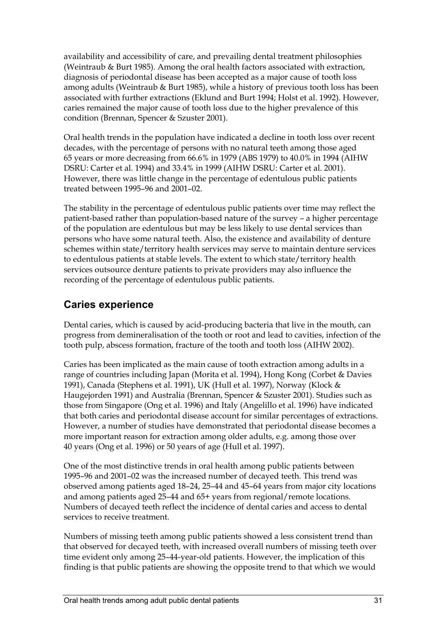availability and accessibility of care, and prevailing dental treatment philosophies (Weintraub & Burt 1985). Among the oral health factors associated with extraction, diagnosis of periodontal disease has been accepted as a major cause of tooth loss among adults (Weintraub & Burt 1985), while a history of previous tooth loss has been associated with further extractions (Eklund and Burt 1994; Holst et al. 1992). However, caries remained the major cause of tooth loss due to the higher prevalence of this condition (Brennan, Spencer & Szuster 2001).

Oral health trends in the population have indicated a decline in tooth loss over recent decades, with the percentage of persons with no natural teeth among those aged 65 years or more decreasing from 66.6% in 1979 (ABS 1979) to 40.0% in 1994 (AIHW DSRU: Carter et al. 1994) and 33.4% in 1999 (AIHW DSRU: Carter et al. 2001). However, there was little change in the percentage of edentulous public patients treated between 1995–96 and 2001–02.

The stability in the percentage of edentulous public patients over time may reflect the patient-based rather than population-based nature of the survey – a higher percentage of the population are edentulous but may be less likely to use dental services than persons who have some natural teeth. Also, the existence and availability of denture schemes within state/territory health services may serve to maintain denture services to edentulous patients at stable levels. The extent to which state/territory health services outsource denture patients to private providers may also influence the recording of the percentage of edentulous public patients.

### **Caries experience**

Dental caries, which is caused by acid-producing bacteria that live in the mouth, can progress from demineralisation of the tooth or root and lead to cavities, infection of the tooth pulp, abscess formation, fracture of the tooth and tooth loss (AIHW 2002).

Caries has been implicated as the main cause of tooth extraction among adults in a range of countries including Japan (Morita et al. 1994), Hong Kong (Corbet & Davies 1991), Canada (Stephens et al. 1991), UK (Hull et al. 1997), Norway (Klock & Haugejorden 1991) and Australia (Brennan, Spencer & Szuster 2001). Studies such as those from Singapore (Ong et al. 1996) and Italy (Angelillo et al. 1996) have indicated that both caries and periodontal disease account for similar percentages of extractions. However, a number of studies have demonstrated that periodontal disease becomes a more important reason for extraction among older adults, e.g. among those over 40 years (Ong et al. 1996) or 50 years of age (Hull et al. 1997).

One of the most distinctive trends in oral health among public patients between 1995–96 and 2001–02 was the increased number of decayed teeth. This trend was observed among patients aged 18–24, 25–44 and 45–64 years from major city locations and among patients aged 25–44 and 65+ years from regional/remote locations. Numbers of decayed teeth reflect the incidence of dental caries and access to dental services to receive treatment.

Numbers of missing teeth among public patients showed a less consistent trend than that observed for decayed teeth, with increased overall numbers of missing teeth over time evident only among 25–44-year-old patients. However, the implication of this finding is that public patients are showing the opposite trend to that which we would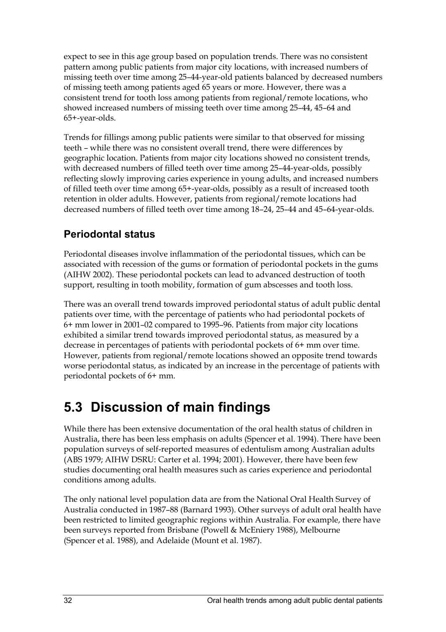expect to see in this age group based on population trends. There was no consistent pattern among public patients from major city locations, with increased numbers of missing teeth over time among 25–44-year-old patients balanced by decreased numbers of missing teeth among patients aged 65 years or more. However, there was a consistent trend for tooth loss among patients from regional/remote locations, who showed increased numbers of missing teeth over time among 25–44, 45–64 and 65+-year-olds.

Trends for fillings among public patients were similar to that observed for missing teeth – while there was no consistent overall trend, there were differences by geographic location. Patients from major city locations showed no consistent trends, with decreased numbers of filled teeth over time among 25–44-year-olds, possibly reflecting slowly improving caries experience in young adults, and increased numbers of filled teeth over time among 65+-year-olds, possibly as a result of increased tooth retention in older adults. However, patients from regional/remote locations had decreased numbers of filled teeth over time among 18–24, 25–44 and 45–64-year-olds.

### **Periodontal status**

Periodontal diseases involve inflammation of the periodontal tissues, which can be associated with recession of the gums or formation of periodontal pockets in the gums (AIHW 2002). These periodontal pockets can lead to advanced destruction of tooth support, resulting in tooth mobility, formation of gum abscesses and tooth loss.

There was an overall trend towards improved periodontal status of adult public dental patients over time, with the percentage of patients who had periodontal pockets of 6+ mm lower in 2001–02 compared to 1995–96. Patients from major city locations exhibited a similar trend towards improved periodontal status, as measured by a decrease in percentages of patients with periodontal pockets of 6+ mm over time. However, patients from regional/remote locations showed an opposite trend towards worse periodontal status, as indicated by an increase in the percentage of patients with periodontal pockets of 6+ mm.

# **5.3 Discussion of main findings**

While there has been extensive documentation of the oral health status of children in Australia, there has been less emphasis on adults (Spencer et al. 1994). There have been population surveys of self-reported measures of edentulism among Australian adults (ABS 1979; AIHW DSRU: Carter et al. 1994; 2001). However, there have been few studies documenting oral health measures such as caries experience and periodontal conditions among adults.

The only national level population data are from the National Oral Health Survey of Australia conducted in 1987–88 (Barnard 1993). Other surveys of adult oral health have been restricted to limited geographic regions within Australia. For example, there have been surveys reported from Brisbane (Powell & McEniery 1988), Melbourne (Spencer et al. 1988), and Adelaide (Mount et al. 1987).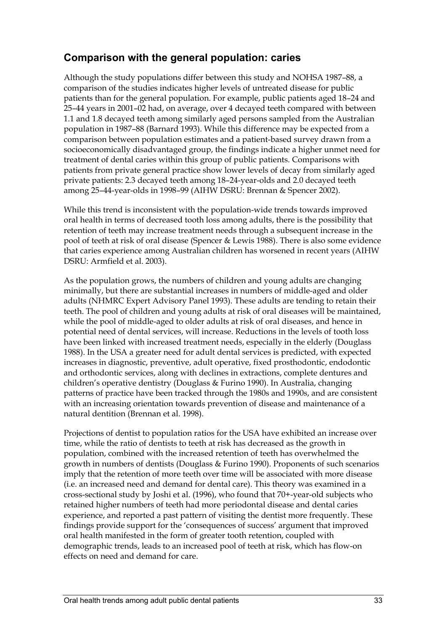#### **Comparison with the general population: caries**

Although the study populations differ between this study and NOHSA 1987–88, a comparison of the studies indicates higher levels of untreated disease for public patients than for the general population. For example, public patients aged 18–24 and 25–44 years in 2001–02 had, on average, over 4 decayed teeth compared with between 1.1 and 1.8 decayed teeth among similarly aged persons sampled from the Australian population in 1987–88 (Barnard 1993). While this difference may be expected from a comparison between population estimates and a patient-based survey drawn from a socioeconomically disadvantaged group, the findings indicate a higher unmet need for treatment of dental caries within this group of public patients. Comparisons with patients from private general practice show lower levels of decay from similarly aged private patients: 2.3 decayed teeth among 18–24-year-olds and 2.0 decayed teeth among 25–44-year-olds in 1998–99 (AIHW DSRU: Brennan & Spencer 2002).

While this trend is inconsistent with the population-wide trends towards improved oral health in terms of decreased tooth loss among adults, there is the possibility that retention of teeth may increase treatment needs through a subsequent increase in the pool of teeth at risk of oral disease (Spencer & Lewis 1988). There is also some evidence that caries experience among Australian children has worsened in recent years (AIHW DSRU: Armfield et al. 2003).

As the population grows, the numbers of children and young adults are changing minimally, but there are substantial increases in numbers of middle-aged and older adults (NHMRC Expert Advisory Panel 1993). These adults are tending to retain their teeth. The pool of children and young adults at risk of oral diseases will be maintained, while the pool of middle-aged to older adults at risk of oral diseases, and hence in potential need of dental services, will increase. Reductions in the levels of tooth loss have been linked with increased treatment needs, especially in the elderly (Douglass 1988). In the USA a greater need for adult dental services is predicted, with expected increases in diagnostic, preventive, adult operative, fixed prosthodontic, endodontic and orthodontic services, along with declines in extractions, complete dentures and children's operative dentistry (Douglass & Furino 1990). In Australia, changing patterns of practice have been tracked through the 1980s and 1990s, and are consistent with an increasing orientation towards prevention of disease and maintenance of a natural dentition (Brennan et al. 1998).

Projections of dentist to population ratios for the USA have exhibited an increase over time, while the ratio of dentists to teeth at risk has decreased as the growth in population, combined with the increased retention of teeth has overwhelmed the growth in numbers of dentists (Douglass & Furino 1990). Proponents of such scenarios imply that the retention of more teeth over time will be associated with more disease (i.e. an increased need and demand for dental care). This theory was examined in a cross-sectional study by Joshi et al. (1996), who found that 70+-year-old subjects who retained higher numbers of teeth had more periodontal disease and dental caries experience, and reported a past pattern of visiting the dentist more frequently. These findings provide support for the 'consequences of success' argument that improved oral health manifested in the form of greater tooth retention, coupled with demographic trends, leads to an increased pool of teeth at risk, which has flow-on effects on need and demand for care.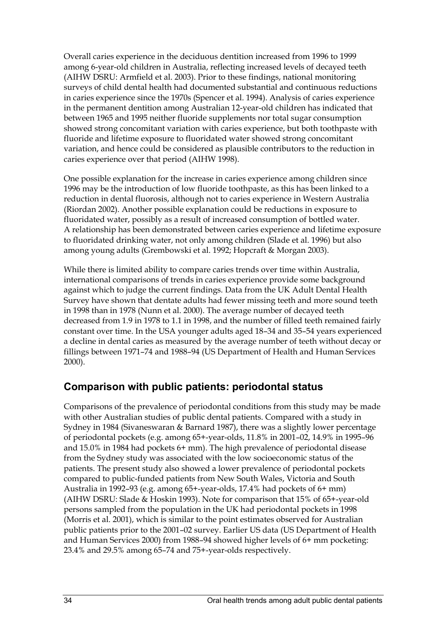Overall caries experience in the deciduous dentition increased from 1996 to 1999 among 6-year-old children in Australia, reflecting increased levels of decayed teeth (AIHW DSRU: Armfield et al. 2003). Prior to these findings, national monitoring surveys of child dental health had documented substantial and continuous reductions in caries experience since the 1970s (Spencer et al. 1994). Analysis of caries experience in the permanent dentition among Australian 12-year-old children has indicated that between 1965 and 1995 neither fluoride supplements nor total sugar consumption showed strong concomitant variation with caries experience, but both toothpaste with fluoride and lifetime exposure to fluoridated water showed strong concomitant variation, and hence could be considered as plausible contributors to the reduction in caries experience over that period (AIHW 1998).

One possible explanation for the increase in caries experience among children since 1996 may be the introduction of low fluoride toothpaste, as this has been linked to a reduction in dental fluorosis, although not to caries experience in Western Australia (Riordan 2002). Another possible explanation could be reductions in exposure to fluoridated water, possibly as a result of increased consumption of bottled water. A relationship has been demonstrated between caries experience and lifetime exposure to fluoridated drinking water, not only among children (Slade et al. 1996) but also among young adults (Grembowski et al. 1992; Hopcraft & Morgan 2003).

While there is limited ability to compare caries trends over time within Australia, international comparisons of trends in caries experience provide some background against which to judge the current findings. Data from the UK Adult Dental Health Survey have shown that dentate adults had fewer missing teeth and more sound teeth in 1998 than in 1978 (Nunn et al. 2000). The average number of decayed teeth decreased from 1.9 in 1978 to 1.1 in 1998, and the number of filled teeth remained fairly constant over time. In the USA younger adults aged 18–34 and 35–54 years experienced a decline in dental caries as measured by the average number of teeth without decay or fillings between 1971–74 and 1988–94 (US Department of Health and Human Services 2000).

#### **Comparison with public patients: periodontal status**

Comparisons of the prevalence of periodontal conditions from this study may be made with other Australian studies of public dental patients. Compared with a study in Sydney in 1984 (Sivaneswaran & Barnard 1987), there was a slightly lower percentage of periodontal pockets (e.g. among 65+-year-olds, 11.8% in 2001–02, 14.9% in 1995–96 and 15.0% in 1984 had pockets 6+ mm). The high prevalence of periodontal disease from the Sydney study was associated with the low socioeconomic status of the patients. The present study also showed a lower prevalence of periodontal pockets compared to public-funded patients from New South Wales, Victoria and South Australia in 1992–93 (e.g. among 65+-year-olds, 17.4% had pockets of 6+ mm) (AIHW DSRU: Slade & Hoskin 1993). Note for comparison that 15% of 65+-year-old persons sampled from the population in the UK had periodontal pockets in 1998 (Morris et al. 2001), which is similar to the point estimates observed for Australian public patients prior to the 2001–02 survey. Earlier US data (US Department of Health and Human Services 2000) from 1988–94 showed higher levels of 6+ mm pocketing: 23.4% and 29.5% among 65–74 and 75+-year-olds respectively.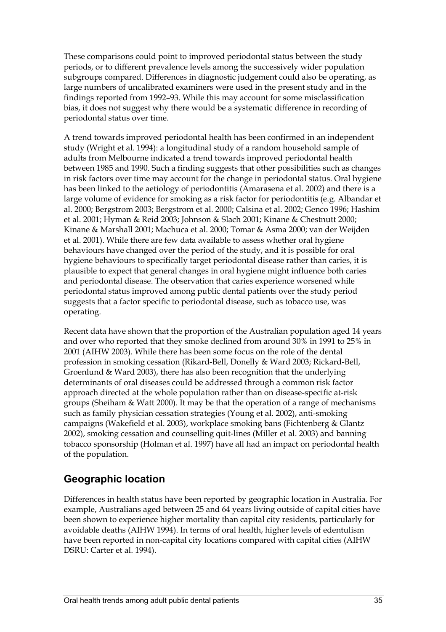These comparisons could point to improved periodontal status between the study periods, or to different prevalence levels among the successively wider population subgroups compared. Differences in diagnostic judgement could also be operating, as large numbers of uncalibrated examiners were used in the present study and in the findings reported from 1992–93. While this may account for some misclassification bias, it does not suggest why there would be a systematic difference in recording of periodontal status over time.

A trend towards improved periodontal health has been confirmed in an independent study (Wright et al. 1994): a longitudinal study of a random household sample of adults from Melbourne indicated a trend towards improved periodontal health between 1985 and 1990. Such a finding suggests that other possibilities such as changes in risk factors over time may account for the change in periodontal status. Oral hygiene has been linked to the aetiology of periodontitis (Amarasena et al. 2002) and there is a large volume of evidence for smoking as a risk factor for periodontitis (e.g. Albandar et al. 2000; Bergstrom 2003; Bergstrom et al. 2000; Calsina et al. 2002; Genco 1996; Hashim et al. 2001; Hyman & Reid 2003; Johnson & Slach 2001; Kinane & Chestnutt 2000; Kinane & Marshall 2001; Machuca et al. 2000; Tomar & Asma 2000; van der Weijden et al. 2001). While there are few data available to assess whether oral hygiene behaviours have changed over the period of the study, and it is possible for oral hygiene behaviours to specifically target periodontal disease rather than caries, it is plausible to expect that general changes in oral hygiene might influence both caries and periodontal disease. The observation that caries experience worsened while periodontal status improved among public dental patients over the study period suggests that a factor specific to periodontal disease, such as tobacco use, was operating.

Recent data have shown that the proportion of the Australian population aged 14 years and over who reported that they smoke declined from around 30% in 1991 to 25% in 2001 (AIHW 2003). While there has been some focus on the role of the dental profession in smoking cessation (Rikard-Bell, Donelly & Ward 2003; Rickard-Bell, Groenlund & Ward 2003), there has also been recognition that the underlying determinants of oral diseases could be addressed through a common risk factor approach directed at the whole population rather than on disease-specific at-risk groups (Sheiham & Watt 2000). It may be that the operation of a range of mechanisms such as family physician cessation strategies (Young et al. 2002), anti-smoking campaigns (Wakefield et al. 2003), workplace smoking bans (Fichtenberg & Glantz 2002), smoking cessation and counselling quit-lines (Miller et al. 2003) and banning tobacco sponsorship (Holman et al. 1997) have all had an impact on periodontal health of the population.

### **Geographic location**

Differences in health status have been reported by geographic location in Australia. For example, Australians aged between 25 and 64 years living outside of capital cities have been shown to experience higher mortality than capital city residents, particularly for avoidable deaths (AIHW 1994). In terms of oral health, higher levels of edentulism have been reported in non-capital city locations compared with capital cities (AIHW DSRU: Carter et al. 1994).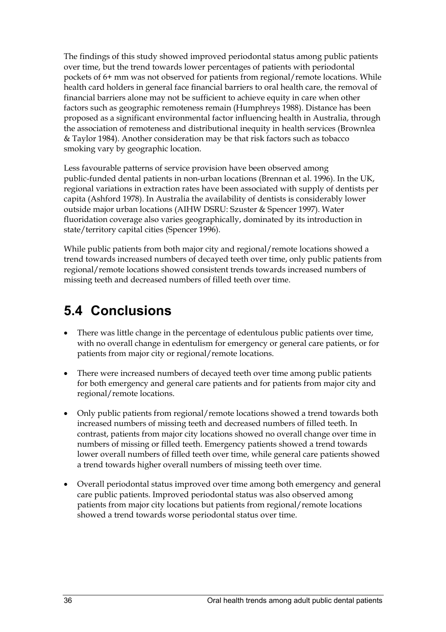The findings of this study showed improved periodontal status among public patients over time, but the trend towards lower percentages of patients with periodontal pockets of 6+ mm was not observed for patients from regional/remote locations. While health card holders in general face financial barriers to oral health care, the removal of financial barriers alone may not be sufficient to achieve equity in care when other factors such as geographic remoteness remain (Humphreys 1988). Distance has been proposed as a significant environmental factor influencing health in Australia, through the association of remoteness and distributional inequity in health services (Brownlea & Taylor 1984). Another consideration may be that risk factors such as tobacco smoking vary by geographic location.

Less favourable patterns of service provision have been observed among public-funded dental patients in non-urban locations (Brennan et al. 1996). In the UK, regional variations in extraction rates have been associated with supply of dentists per capita (Ashford 1978). In Australia the availability of dentists is considerably lower outside major urban locations (AIHW DSRU: Szuster & Spencer 1997). Water fluoridation coverage also varies geographically, dominated by its introduction in state/territory capital cities (Spencer 1996).

While public patients from both major city and regional/remote locations showed a trend towards increased numbers of decayed teeth over time, only public patients from regional/remote locations showed consistent trends towards increased numbers of missing teeth and decreased numbers of filled teeth over time.

## **5.4 Conclusions**

- There was little change in the percentage of edentulous public patients over time, with no overall change in edentulism for emergency or general care patients, or for patients from major city or regional/remote locations.
- There were increased numbers of decayed teeth over time among public patients for both emergency and general care patients and for patients from major city and regional/remote locations.
- Only public patients from regional/remote locations showed a trend towards both increased numbers of missing teeth and decreased numbers of filled teeth. In contrast, patients from major city locations showed no overall change over time in numbers of missing or filled teeth. Emergency patients showed a trend towards lower overall numbers of filled teeth over time, while general care patients showed a trend towards higher overall numbers of missing teeth over time.
- Overall periodontal status improved over time among both emergency and general care public patients. Improved periodontal status was also observed among patients from major city locations but patients from regional/remote locations showed a trend towards worse periodontal status over time.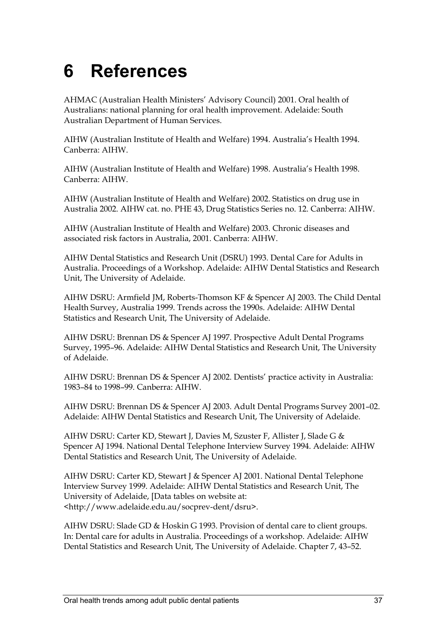# **6 References**

AHMAC (Australian Health Ministers' Advisory Council) 2001. Oral health of Australians: national planning for oral health improvement. Adelaide: South Australian Department of Human Services.

AIHW (Australian Institute of Health and Welfare) 1994. Australia's Health 1994. Canberra: AIHW.

AIHW (Australian Institute of Health and Welfare) 1998. Australia's Health 1998. Canberra: AIHW.

AIHW (Australian Institute of Health and Welfare) 2002. Statistics on drug use in Australia 2002. AIHW cat. no. PHE 43, Drug Statistics Series no. 12. Canberra: AIHW.

AIHW (Australian Institute of Health and Welfare) 2003. Chronic diseases and associated risk factors in Australia, 2001. Canberra: AIHW.

AIHW Dental Statistics and Research Unit (DSRU) 1993. Dental Care for Adults in Australia. Proceedings of a Workshop. Adelaide: AIHW Dental Statistics and Research Unit, The University of Adelaide.

AIHW DSRU: Armfield JM, Roberts-Thomson KF & Spencer AJ 2003. The Child Dental Health Survey, Australia 1999. Trends across the 1990s. Adelaide: AIHW Dental Statistics and Research Unit, The University of Adelaide.

AIHW DSRU: Brennan DS & Spencer AJ 1997. Prospective Adult Dental Programs Survey, 1995–96. Adelaide: AIHW Dental Statistics and Research Unit, The University of Adelaide.

AIHW DSRU: Brennan DS & Spencer AJ 2002. Dentists' practice activity in Australia: 1983–84 to 1998–99. Canberra: AIHW.

AIHW DSRU: Brennan DS & Spencer AJ 2003. Adult Dental Programs Survey 2001–02. Adelaide: AIHW Dental Statistics and Research Unit, The University of Adelaide.

AIHW DSRU: Carter KD, Stewart J, Davies M, Szuster F, Allister J, Slade G & Spencer AJ 1994. National Dental Telephone Interview Survey 1994. Adelaide: AIHW Dental Statistics and Research Unit, The University of Adelaide.

AIHW DSRU: Carter KD, Stewart J & Spencer AJ 2001. National Dental Telephone Interview Survey 1999. Adelaide: AIHW Dental Statistics and Research Unit, The University of Adelaide, [Data tables on website at: <http://www.adelaide.edu.au/socprev-dent/dsru>.

AIHW DSRU: Slade GD & Hoskin G 1993. Provision of dental care to client groups. In: Dental care for adults in Australia. Proceedings of a workshop. Adelaide: AIHW Dental Statistics and Research Unit, The University of Adelaide. Chapter 7, 43–52.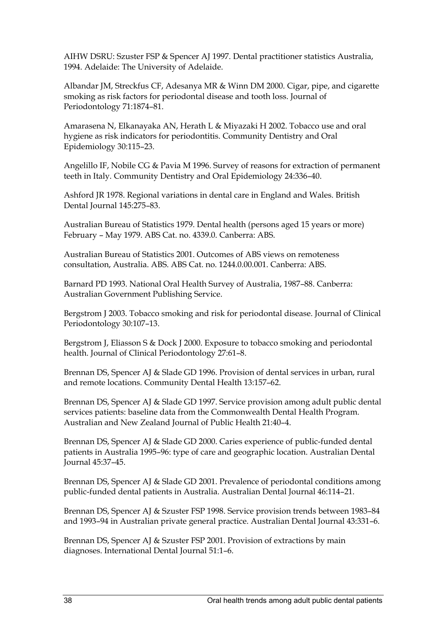AIHW DSRU: Szuster FSP & Spencer AJ 1997. Dental practitioner statistics Australia, 1994. Adelaide: The University of Adelaide.

Albandar JM, Streckfus CF, Adesanya MR & Winn DM 2000. Cigar, pipe, and cigarette smoking as risk factors for periodontal disease and tooth loss. Journal of Periodontology 71:1874–81.

Amarasena N, Elkanayaka AN, Herath L & Miyazaki H 2002. Tobacco use and oral hygiene as risk indicators for periodontitis. Community Dentistry and Oral Epidemiology 30:115–23.

Angelillo IF, Nobile CG & Pavia M 1996. Survey of reasons for extraction of permanent teeth in Italy. Community Dentistry and Oral Epidemiology 24:336–40.

Ashford JR 1978. Regional variations in dental care in England and Wales. British Dental Journal 145:275–83.

Australian Bureau of Statistics 1979. Dental health (persons aged 15 years or more) February – May 1979. ABS Cat. no. 4339.0. Canberra: ABS.

Australian Bureau of Statistics 2001. Outcomes of ABS views on remoteness consultation, Australia. ABS. ABS Cat. no. 1244.0.00.001. Canberra: ABS.

Barnard PD 1993. National Oral Health Survey of Australia, 1987–88. Canberra: Australian Government Publishing Service.

Bergstrom J 2003. Tobacco smoking and risk for periodontal disease. Journal of Clinical Periodontology 30:107–13.

Bergstrom J, Eliasson S & Dock J 2000. Exposure to tobacco smoking and periodontal health. Journal of Clinical Periodontology 27:61–8.

Brennan DS, Spencer AJ & Slade GD 1996. Provision of dental services in urban, rural and remote locations. Community Dental Health 13:157–62.

Brennan DS, Spencer AJ & Slade GD 1997. Service provision among adult public dental services patients: baseline data from the Commonwealth Dental Health Program. Australian and New Zealand Journal of Public Health 21:40–4.

Brennan DS, Spencer AJ & Slade GD 2000. Caries experience of public-funded dental patients in Australia 1995–96: type of care and geographic location. Australian Dental Journal 45:37–45.

Brennan DS, Spencer AJ & Slade GD 2001. Prevalence of periodontal conditions among public-funded dental patients in Australia. Australian Dental Journal 46:114–21.

Brennan DS, Spencer AJ & Szuster FSP 1998. Service provision trends between 1983–84 and 1993–94 in Australian private general practice. Australian Dental Journal 43:331–6.

Brennan DS, Spencer AJ & Szuster FSP 2001. Provision of extractions by main diagnoses. International Dental Journal 51:1–6.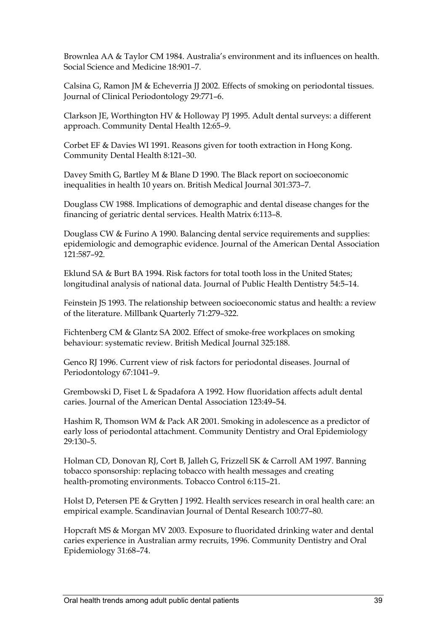Brownlea AA & Taylor CM 1984. Australia's environment and its influences on health. Social Science and Medicine 18:901–7.

Calsina G, Ramon JM & Echeverria JJ 2002. Effects of smoking on periodontal tissues. Journal of Clinical Periodontology 29:771–6.

Clarkson JE, Worthington HV & Holloway PJ 1995. Adult dental surveys: a different approach. Community Dental Health 12:65–9.

Corbet EF & Davies WI 1991. Reasons given for tooth extraction in Hong Kong. Community Dental Health 8:121–30.

Davey Smith G, Bartley M & Blane D 1990. The Black report on socioeconomic inequalities in health 10 years on. British Medical Journal 301:373–7.

Douglass CW 1988. Implications of demographic and dental disease changes for the financing of geriatric dental services. Health Matrix 6:113–8.

Douglass CW & Furino A 1990. Balancing dental service requirements and supplies: epidemiologic and demographic evidence. Journal of the American Dental Association 121:587–92.

Eklund SA & Burt BA 1994. Risk factors for total tooth loss in the United States; longitudinal analysis of national data. Journal of Public Health Dentistry 54:5–14.

Feinstein JS 1993. The relationship between socioeconomic status and health: a review of the literature. Millbank Quarterly 71:279–322.

Fichtenberg CM & Glantz SA 2002. Effect of smoke-free workplaces on smoking behaviour: systematic review. British Medical Journal 325:188.

Genco RJ 1996. Current view of risk factors for periodontal diseases. Journal of Periodontology 67:1041–9.

Grembowski D, Fiset L & Spadafora A 1992. How fluoridation affects adult dental caries. Journal of the American Dental Association 123:49–54.

Hashim R, Thomson WM & Pack AR 2001. Smoking in adolescence as a predictor of early loss of periodontal attachment. Community Dentistry and Oral Epidemiology 29:130–5.

Holman CD, Donovan RJ, Cort B, Jalleh G, Frizzell SK & Carroll AM 1997. Banning tobacco sponsorship: replacing tobacco with health messages and creating health-promoting environments. Tobacco Control 6:115–21.

Holst D, Petersen PE & Grytten J 1992. Health services research in oral health care: an empirical example. Scandinavian Journal of Dental Research 100:77–80.

Hopcraft MS & Morgan MV 2003. Exposure to fluoridated drinking water and dental caries experience in Australian army recruits, 1996. Community Dentistry and Oral Epidemiology 31:68–74.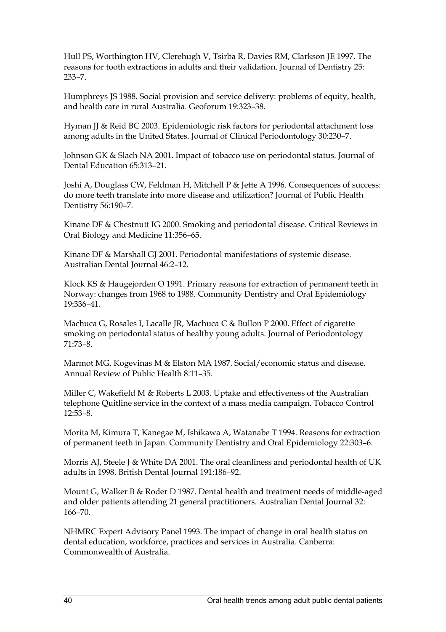Hull PS, Worthington HV, Clerehugh V, Tsirba R, Davies RM, Clarkson JE 1997. The reasons for tooth extractions in adults and their validation. Journal of Dentistry 25: 233–7.

Humphreys JS 1988. Social provision and service delivery: problems of equity, health, and health care in rural Australia. Geoforum 19:323–38.

Hyman JJ & Reid BC 2003. Epidemiologic risk factors for periodontal attachment loss among adults in the United States. Journal of Clinical Periodontology 30:230–7.

Johnson GK & Slach NA 2001. Impact of tobacco use on periodontal status. Journal of Dental Education 65:313–21.

Joshi A, Douglass CW, Feldman H, Mitchell P & Jette A 1996. Consequences of success: do more teeth translate into more disease and utilization? Journal of Public Health Dentistry 56:190–7.

Kinane DF & Chestnutt IG 2000. Smoking and periodontal disease. Critical Reviews in Oral Biology and Medicine 11:356–65.

Kinane DF & Marshall GJ 2001. Periodontal manifestations of systemic disease. Australian Dental Journal 46:2–12.

Klock KS & Haugejorden O 1991. Primary reasons for extraction of permanent teeth in Norway: changes from 1968 to 1988. Community Dentistry and Oral Epidemiology 19:336–41.

Machuca G, Rosales I, Lacalle JR, Machuca C & Bullon P 2000. Effect of cigarette smoking on periodontal status of healthy young adults. Journal of Periodontology 71:73–8.

Marmot MG, Kogevinas M & Elston MA 1987. Social/economic status and disease. Annual Review of Public Health 8:11–35.

Miller C, Wakefield M & Roberts L 2003. Uptake and effectiveness of the Australian telephone Quitline service in the context of a mass media campaign. Tobacco Control 12:53–8.

Morita M, Kimura T, Kanegae M, Ishikawa A, Watanabe T 1994. Reasons for extraction of permanent teeth in Japan. Community Dentistry and Oral Epidemiology 22:303–6.

Morris AJ, Steele J & White DA 2001. The oral cleanliness and periodontal health of UK adults in 1998. British Dental Journal 191:186–92.

Mount G, Walker B & Roder D 1987. Dental health and treatment needs of middle-aged and older patients attending 21 general practitioners. Australian Dental Journal 32: 166–70.

NHMRC Expert Advisory Panel 1993. The impact of change in oral health status on dental education, workforce, practices and services in Australia. Canberra: Commonwealth of Australia.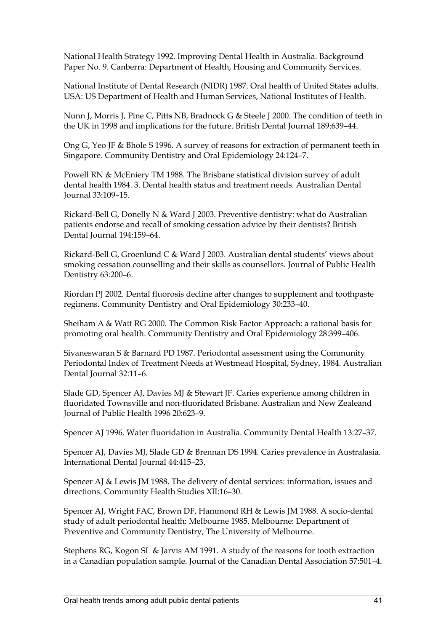National Health Strategy 1992. Improving Dental Health in Australia. Background Paper No. 9. Canberra: Department of Health, Housing and Community Services.

National Institute of Dental Research (NIDR) 1987. Oral health of United States adults. USA: US Department of Health and Human Services, National Institutes of Health.

Nunn J, Morris J, Pine C, Pitts NB, Bradnock G & Steele J 2000. The condition of teeth in the UK in 1998 and implications for the future. British Dental Journal 189:639–44.

Ong G, Yeo JF & Bhole S 1996. A survey of reasons for extraction of permanent teeth in Singapore. Community Dentistry and Oral Epidemiology 24:124–7.

Powell RN & McEniery TM 1988. The Brisbane statistical division survey of adult dental health 1984. 3. Dental health status and treatment needs. Australian Dental Journal 33:109–15.

Rickard-Bell G, Donelly N & Ward J 2003. Preventive dentistry: what do Australian patients endorse and recall of smoking cessation advice by their dentists? British Dental Journal 194:159–64.

Rickard-Bell G, Groenlund C & Ward J 2003. Australian dental students' views about smoking cessation counselling and their skills as counsellors. Journal of Public Health Dentistry 63:200–6.

Riordan PJ 2002. Dental fluorosis decline after changes to supplement and toothpaste regimens. Community Dentistry and Oral Epidemiology 30:233–40.

Sheiham A & Watt RG 2000. The Common Risk Factor Approach: a rational basis for promoting oral health. Community Dentistry and Oral Epidemiology 28:399–406.

Sivaneswaran S & Barnard PD 1987. Periodontal assessment using the Community Periodontal Index of Treatment Needs at Westmead Hospital, Sydney, 1984. Australian Dental Journal 32:11–6.

Slade GD, Spencer AJ, Davies MJ & Stewart JF. Caries experience among children in fluoridated Townsville and non-fluoridated Brisbane. Australian and New Zealeand Journal of Public Health 1996 20:623–9.

Spencer AJ 1996. Water fluoridation in Australia. Community Dental Health 13:27–37.

Spencer AJ, Davies MJ, Slade GD & Brennan DS 1994. Caries prevalence in Australasia. International Dental Journal 44:415–23.

Spencer AJ & Lewis JM 1988. The delivery of dental services: information, issues and directions. Community Health Studies XII:16–30.

Spencer AJ, Wright FAC, Brown DF, Hammond RH & Lewis JM 1988. A socio-dental study of adult periodontal health: Melbourne 1985. Melbourne: Department of Preventive and Community Dentistry, The University of Melbourne.

Stephens RG, Kogon SL & Jarvis AM 1991. A study of the reasons for tooth extraction in a Canadian population sample. Journal of the Canadian Dental Association 57:501–4.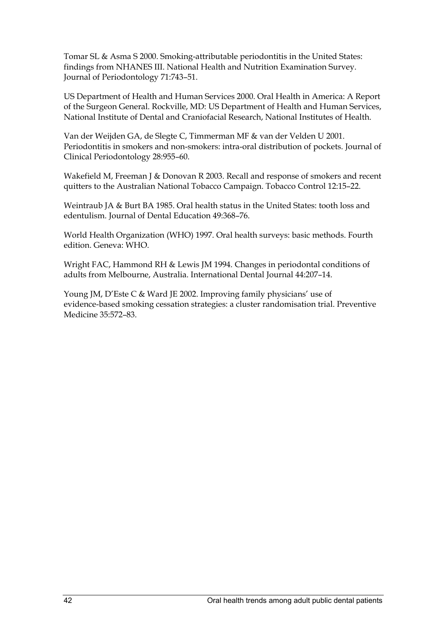Tomar SL & Asma S 2000. Smoking-attributable periodontitis in the United States: findings from NHANES III. National Health and Nutrition Examination Survey. Journal of Periodontology 71:743–51.

US Department of Health and Human Services 2000. Oral Health in America: A Report of the Surgeon General. Rockville, MD: US Department of Health and Human Services, National Institute of Dental and Craniofacial Research, National Institutes of Health.

Van der Weijden GA, de Slegte C, Timmerman MF & van der Velden U 2001. Periodontitis in smokers and non-smokers: intra-oral distribution of pockets. Journal of Clinical Periodontology 28:955–60.

Wakefield M, Freeman J & Donovan R 2003. Recall and response of smokers and recent quitters to the Australian National Tobacco Campaign. Tobacco Control 12:15–22.

Weintraub JA & Burt BA 1985. Oral health status in the United States: tooth loss and edentulism. Journal of Dental Education 49:368–76.

World Health Organization (WHO) 1997. Oral health surveys: basic methods. Fourth edition. Geneva: WHO.

Wright FAC, Hammond RH & Lewis JM 1994. Changes in periodontal conditions of adults from Melbourne, Australia. International Dental Journal 44:207–14.

Young JM, D'Este C & Ward JE 2002. Improving family physicians' use of evidence-based smoking cessation strategies: a cluster randomisation trial. Preventive Medicine 35:572–83.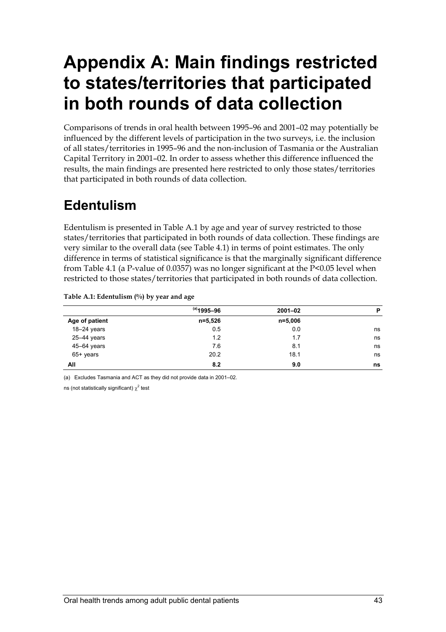# **Appendix A: Main findings restricted to states/territories that participated in both rounds of data collection**

Comparisons of trends in oral health between 1995–96 and 2001–02 may potentially be influenced by the different levels of participation in the two surveys, i.e. the inclusion of all states/territories in 1995–96 and the non-inclusion of Tasmania or the Australian Capital Territory in 2001–02. In order to assess whether this difference influenced the results, the main findings are presented here restricted to only those states/territories that participated in both rounds of data collection.

## **Edentulism**

Edentulism is presented in Table A.1 by age and year of survey restricted to those states/territories that participated in both rounds of data collection. These findings are very similar to the overall data (see Table 4.1) in terms of point estimates. The only difference in terms of statistical significance is that the marginally significant difference from Table 4.1 (a P-value of 0.0357) was no longer significant at the P<0.05 level when restricted to those states/territories that participated in both rounds of data collection.

#### **Table A.1: Edentulism (%) by year and age**

|                | $^{(a)}$ 1995–96 | $2001 - 02$ | P  |
|----------------|------------------|-------------|----|
| Age of patient | n=5,526          | $n = 5,006$ |    |
| $18-24$ years  | 0.5              | 0.0         | ns |
| 25-44 years    | 1.2              | 1.7         | ns |
| 45-64 years    | 7.6              | 8.1         | ns |
| 65+ years      | 20.2             | 18.1        | ns |
| All            | 8.2              | 9.0         | ns |

(a) Excludes Tasmania and ACT as they did not provide data in 2001–02.

ns (not statistically significant)  $\chi^2$  test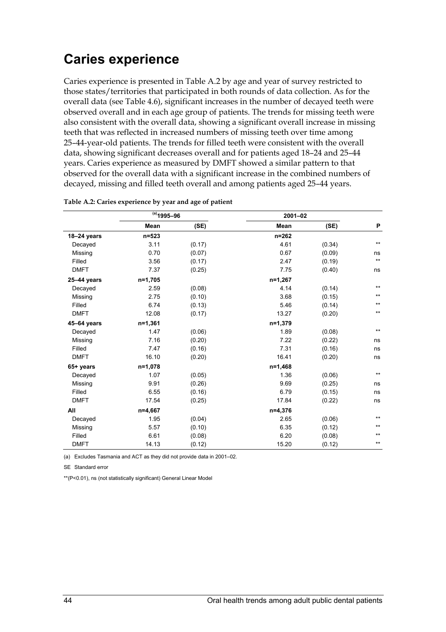### **Caries experience**

Caries experience is presented in Table A.2 by age and year of survey restricted to those states/territories that participated in both rounds of data collection. As for the overall data (see Table 4.6), significant increases in the number of decayed teeth were observed overall and in each age group of patients. The trends for missing teeth were also consistent with the overall data, showing a significant overall increase in missing teeth that was reflected in increased numbers of missing teeth over time among 25–44-year-old patients. The trends for filled teeth were consistent with the overall data, showing significant decreases overall and for patients aged 18–24 and 25–44 years. Caries experience as measured by DMFT showed a similar pattern to that observed for the overall data with a significant increase in the combined numbers of decayed, missing and filled teeth overall and among patients aged 25–44 years.

|             | $(a)$ 1995-96 |        | $2001 - 02$ |        |              |
|-------------|---------------|--------|-------------|--------|--------------|
|             | <b>Mean</b>   | (SE)   | Mean        | (SE)   | P            |
| 18-24 years | n=523         |        | $n = 262$   |        |              |
| Decayed     | 3.11          | (0.17) | 4.61        | (0.34) | $***$        |
| Missing     | 0.70          | (0.07) | 0.67        | (0.09) | ns           |
| Filled      | 3.56          | (0.17) | 2.47        | (0.19) | $***$        |
| <b>DMFT</b> | 7.37          | (0.25) | 7.75        | (0.40) | ns           |
| 25-44 years | $n=1,705$     |        | n=1,267     |        |              |
| Decayed     | 2.59          | (0.08) | 4.14        | (0.14) | $***$        |
| Missing     | 2.75          | (0.10) | 3.68        | (0.15) | $***$        |
| Filled      | 6.74          | (0.13) | 5.46        | (0.14) | $***$        |
| <b>DMFT</b> | 12.08         | (0.17) | 13.27       | (0.20) | $***$        |
| 45-64 years | $n=1,361$     |        | $n=1,379$   |        |              |
| Decayed     | 1.47          | (0.06) | 1.89        | (0.08) | $\star\star$ |
| Missing     | 7.16          | (0.20) | 7.22        | (0.22) | ns           |
| Filled      | 7.47          | (0.16) | 7.31        | (0.16) | ns           |
| <b>DMFT</b> | 16.10         | (0.20) | 16.41       | (0.20) | ns           |
| 65+ years   | n=1,078       |        | n=1,468     |        |              |
| Decayed     | 1.07          | (0.05) | 1.36        | (0.06) | $\star\star$ |
| Missing     | 9.91          | (0.26) | 9.69        | (0.25) | ns           |
| Filled      | 6.55          | (0.16) | 6.79        | (0.15) | ns           |
| <b>DMFT</b> | 17.54         | (0.25) | 17.84       | (0.22) | ns           |
| All         | n=4,667       |        | $n=4,376$   |        |              |
| Decayed     | 1.95          | (0.04) | 2.65        | (0.06) | $**$         |
| Missing     | 5.57          | (0.10) | 6.35        | (0.12) | $***$        |
| Filled      | 6.61          | (0.08) | 6.20        | (0.08) | $***$        |
| <b>DMFT</b> | 14.13         | (0.12) | 15.20       | (0.12) | $***$        |

|  | Table A.2: Caries experience by year and age of patient |
|--|---------------------------------------------------------|
|  |                                                         |

(a) Excludes Tasmania and ACT as they did not provide data in 2001–02.

SE Standard error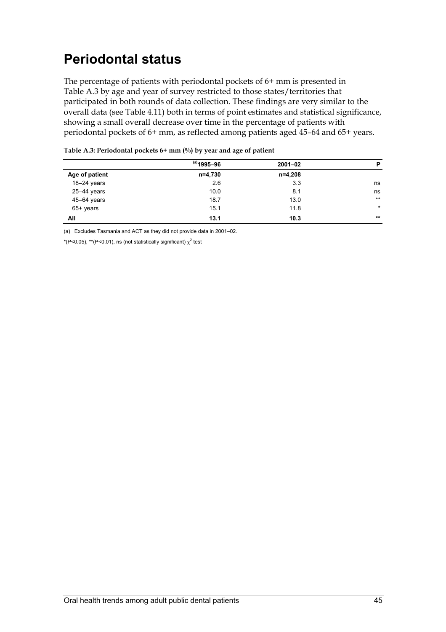# **Periodontal status**

The percentage of patients with periodontal pockets of 6+ mm is presented in Table A.3 by age and year of survey restricted to those states/territories that participated in both rounds of data collection. These findings are very similar to the overall data (see Table 4.11) both in terms of point estimates and statistical significance, showing a small overall decrease over time in the percentage of patients with periodontal pockets of 6+ mm, as reflected among patients aged 45–64 and 65+ years.

|                 | $^{(a)}$ 1995-96 | $2001 - 02$ | P       |
|-----------------|------------------|-------------|---------|
| Age of patient  | n=4,730          | n=4,208     |         |
| $18-24$ years   | 2.6              | 3.3         | ns      |
| $25 - 44$ years | 10.0             | 8.1         | ns      |
| 45-64 years     | 18.7             | 13.0        | $***$   |
| $65+$ years     | 15.1             | 11.8        | $\star$ |
| All             | 13.1             | 10.3        | **      |

| Table A.3: Periodontal pockets $6+$ mm $(\%)$ by year and age of patient |  |  |
|--------------------------------------------------------------------------|--|--|
|--------------------------------------------------------------------------|--|--|

(a) Excludes Tasmania and ACT as they did not provide data in 2001–02.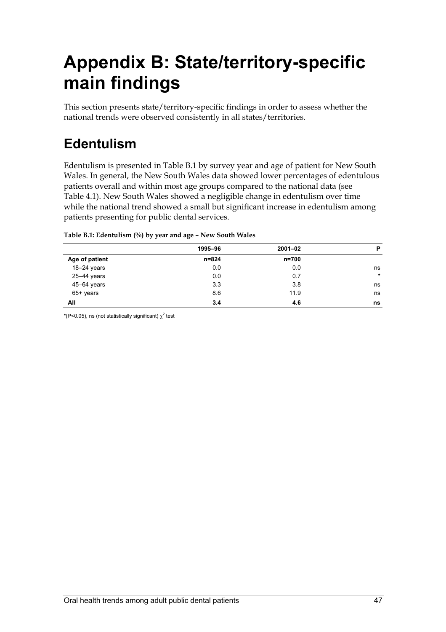# **Appendix B: State/territory-specific main findings**

This section presents state/territory-specific findings in order to assess whether the national trends were observed consistently in all states/territories.

# **Edentulism**

Edentulism is presented in Table B.1 by survey year and age of patient for New South Wales. In general, the New South Wales data showed lower percentages of edentulous patients overall and within most age groups compared to the national data (see Table 4.1). New South Wales showed a negligible change in edentulism over time while the national trend showed a small but significant increase in edentulism among patients presenting for public dental services.

|                | 1995-96   | $2001 - 02$ | P       |
|----------------|-----------|-------------|---------|
| Age of patient | $n = 824$ | $n = 700$   |         |
| 18-24 years    | 0.0       | 0.0         | ns      |
| 25-44 years    | 0.0       | 0.7         | $\star$ |
| 45-64 years    | 3.3       | 3.8         | ns      |
| $65+$ years    | 8.6       | 11.9        | ns      |
| All            | 3.4       | 4.6         | ns      |

**Table B.1: Edentulism (%) by year and age – New South Wales**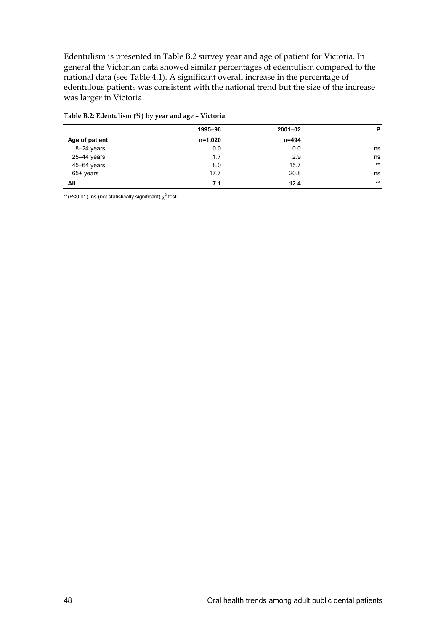Edentulism is presented in Table B.2 survey year and age of patient for Victoria. In general the Victorian data showed similar percentages of edentulism compared to the national data (see Table 4.1). A significant overall increase in the percentage of edentulous patients was consistent with the national trend but the size of the increase was larger in Victoria.

|                | 1995-96 | $2001 - 02$ | P     |
|----------------|---------|-------------|-------|
| Age of patient | n=1,020 | n=494       |       |
| $18-24$ years  | 0.0     | 0.0         | ns    |
| 25-44 years    | 1.7     | 2.9         | ns    |
| 45-64 years    | 8.0     | 15.7        | $***$ |
| 65+ years      | 17.7    | 20.8        | ns    |
| All            | 7.1     | 12.4        | $***$ |

#### **Table B.2: Edentulism (%) by year and age – Victoria**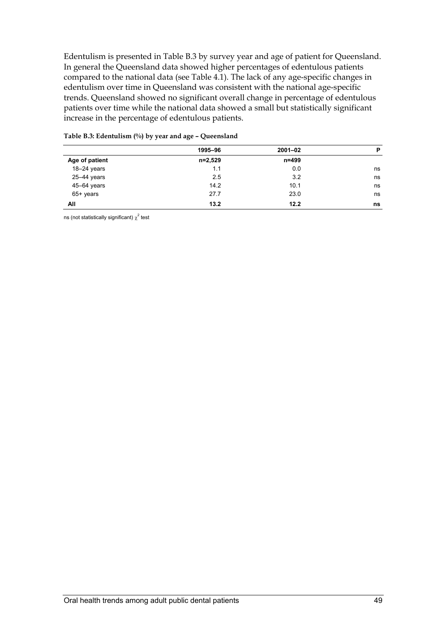Edentulism is presented in Table B.3 by survey year and age of patient for Queensland. In general the Queensland data showed higher percentages of edentulous patients compared to the national data (see Table 4.1). The lack of any age-specific changes in edentulism over time in Queensland was consistent with the national age-specific trends. Queensland showed no significant overall change in percentage of edentulous patients over time while the national data showed a small but statistically significant increase in the percentage of edentulous patients.

|                 | 1995-96   | $2001 - 02$ | P  |
|-----------------|-----------|-------------|----|
| Age of patient  | $n=2,529$ | $n = 499$   |    |
| 18-24 years     | 1.1       | 0.0         | ns |
| 25-44 years     | 2.5       | 3.2         | ns |
| $45 - 64$ years | 14.2      | 10.1        | ns |
| $65+$ years     | 27.7      | 23.0        | ns |
| All             | 13.2      | 12.2        | ns |

#### **Table B.3: Edentulism (%) by year and age – Queensland**

ns (not statistically significant)  $\chi^2$  test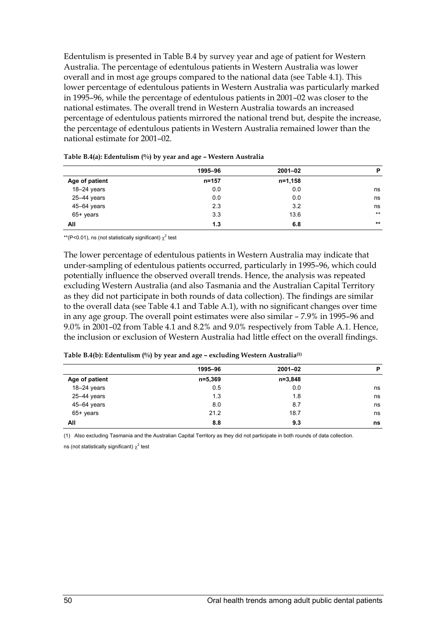Edentulism is presented in Table B.4 by survey year and age of patient for Western Australia. The percentage of edentulous patients in Western Australia was lower overall and in most age groups compared to the national data (see Table 4.1). This lower percentage of edentulous patients in Western Australia was particularly marked in 1995–96, while the percentage of edentulous patients in 2001–02 was closer to the national estimates. The overall trend in Western Australia towards an increased percentage of edentulous patients mirrored the national trend but, despite the increase, the percentage of edentulous patients in Western Australia remained lower than the national estimate for 2001–02.

|                 | 1995-96   | $2001 - 02$ | P     |
|-----------------|-----------|-------------|-------|
| Age of patient  | $n = 157$ | $n=1,158$   |       |
| 18-24 years     | 0.0       | 0.0         | ns    |
| $25 - 44$ years | 0.0       | 0.0         | ns    |
| 45-64 years     | 2.3       | 3.2         | ns    |
| 65+ years       | 3.3       | 13.6        | $***$ |
| All             | 1.3       | 6.8         | **    |

**Table B.4(a): Edentulism (%) by year and age – Western Australia** 

\*\*(P<0.01), ns (not statistically significant)  $\chi^2$  test

The lower percentage of edentulous patients in Western Australia may indicate that under-sampling of edentulous patients occurred, particularly in 1995–96, which could potentially influence the observed overall trends. Hence, the analysis was repeated excluding Western Australia (and also Tasmania and the Australian Capital Territory as they did not participate in both rounds of data collection). The findings are similar to the overall data (see Table 4.1 and Table A.1), with no significant changes over time in any age group. The overall point estimates were also similar – 7.9% in 1995–96 and 9.0% in 2001–02 from Table 4.1 and 8.2% and 9.0% respectively from Table A.1. Hence, the inclusion or exclusion of Western Australia had little effect on the overall findings.

| Table B.4(b): Edentulism (%) by year and age - excluding Western Australia <sup>(1)</sup> |  |  |  |  |
|-------------------------------------------------------------------------------------------|--|--|--|--|
|-------------------------------------------------------------------------------------------|--|--|--|--|

|                | 1995-96   | $2001 - 02$ | P  |
|----------------|-----------|-------------|----|
| Age of patient | $n=5,369$ | $n = 3,848$ |    |
| $18-24$ years  | 0.5       | 0.0         | ns |
| 25-44 years    | 1.3       | 1.8         | ns |
| 45-64 years    | 8.0       | 8.7         | ns |
| $65+$ years    | 21.2      | 18.7        | ns |
| All            | 8.8       | 9.3         | ns |

(1) Also excluding Tasmania and the Australian Capital Territory as they did not participate in both rounds of data collection.

ns (not statistically significant)  $\chi^2$  test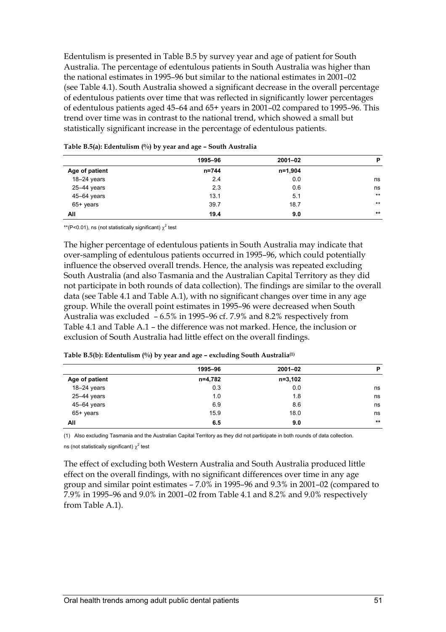Edentulism is presented in Table B.5 by survey year and age of patient for South Australia. The percentage of edentulous patients in South Australia was higher than the national estimates in 1995–96 but similar to the national estimates in 2001–02 (see Table 4.1). South Australia showed a significant decrease in the overall percentage of edentulous patients over time that was reflected in significantly lower percentages of edentulous patients aged 45–64 and 65+ years in 2001–02 compared to 1995–96. This trend over time was in contrast to the national trend, which showed a small but statistically significant increase in the percentage of edentulous patients.

|                 | 1995-96 | $2001 - 02$ | P     |
|-----------------|---------|-------------|-------|
| Age of patient  | n=744   | n=1,904     |       |
| $18-24$ years   | 2.4     | 0.0         | ns    |
| $25 - 44$ years | 2.3     | 0.6         | ns    |
| $45 - 64$ years | 13.1    | 5.1         | $***$ |
| $65+$ years     | 39.7    | 18.7        | $***$ |
| All             | 19.4    | 9.0         | $***$ |
|                 |         |             |       |

**Table B.5(a): Edentulism (%) by year and age – South Australia** 

\*\*(P<0.01), ns (not statistically significant)  $\chi^2$  test

The higher percentage of edentulous patients in South Australia may indicate that over-sampling of edentulous patients occurred in 1995–96, which could potentially influence the observed overall trends. Hence, the analysis was repeated excluding South Australia (and also Tasmania and the Australian Capital Territory as they did not participate in both rounds of data collection). The findings are similar to the overall data (see Table 4.1 and Table A.1), with no significant changes over time in any age group. While the overall point estimates in 1995–96 were decreased when South Australia was excluded – 6.5% in 1995–96 cf. 7.9% and 8.2% respectively from Table 4.1 and Table A.1 – the difference was not marked. Hence, the inclusion or exclusion of South Australia had little effect on the overall findings.

|                 | 1995-96 | $2001 - 02$ | P     |
|-----------------|---------|-------------|-------|
| Age of patient  | n=4,782 | $n=3,102$   |       |
| $18-24$ years   | 0.3     | 0.0         | ns    |
| $25 - 44$ years | 1.0     | 1.8         | ns    |
| 45-64 years     | 6.9     | 8.6         | ns    |
| 65+ years       | 15.9    | 18.0        | ns    |
| All             | 6.5     | 9.0         | $***$ |
|                 |         |             |       |

**Table B.5(b): Edentulism (%) by year and age – excluding South Australia(1)**

(1) Also excluding Tasmania and the Australian Capital Territory as they did not participate in both rounds of data collection.

ns (not statistically significant)  $\chi^2$  test

The effect of excluding both Western Australia and South Australia produced little effect on the overall findings, with no significant differences over time in any age group and similar point estimates – 7.0% in 1995–96 and 9.3% in 2001–02 (compared to 7.9% in 1995–96 and 9.0% in 2001–02 from Table 4.1 and 8.2% and 9.0% respectively from Table A.1).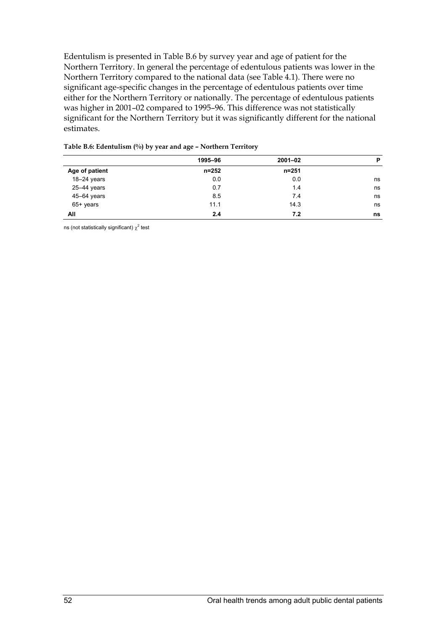Edentulism is presented in Table B.6 by survey year and age of patient for the Northern Territory. In general the percentage of edentulous patients was lower in the Northern Territory compared to the national data (see Table 4.1). There were no significant age-specific changes in the percentage of edentulous patients over time either for the Northern Territory or nationally. The percentage of edentulous patients was higher in 2001–02 compared to 1995–96. This difference was not statistically significant for the Northern Territory but it was significantly different for the national estimates.

|                | 1995-96   | $2001 - 02$ | P  |
|----------------|-----------|-------------|----|
| Age of patient | $n = 252$ | n=251       |    |
| $18-24$ years  | 0.0       | 0.0         | ns |
| 25-44 years    | 0.7       | 1.4         | ns |
| 45-64 years    | 8.5       | 7.4         | ns |
| $65+$ years    | 11.1      | 14.3        | ns |
| All            | 2.4       | 7.2         | ns |

#### **Table B.6: Edentulism (%) by year and age – Northern Territory**

ns (not statistically significant)  $\chi^2$  test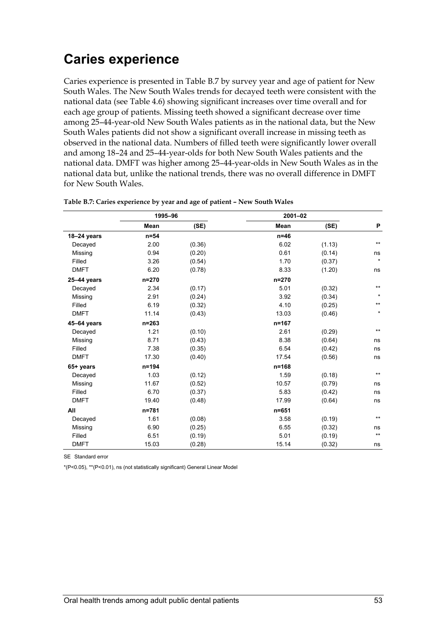### **Caries experience**

Caries experience is presented in Table B.7 by survey year and age of patient for New South Wales. The New South Wales trends for decayed teeth were consistent with the national data (see Table 4.6) showing significant increases over time overall and for each age group of patients. Missing teeth showed a significant decrease over time among 25–44-year-old New South Wales patients as in the national data, but the New South Wales patients did not show a significant overall increase in missing teeth as observed in the national data. Numbers of filled teeth were significantly lower overall and among 18–24 and 25–44-year-olds for both New South Wales patients and the national data. DMFT was higher among 25–44-year-olds in New South Wales as in the national data but, unlike the national trends, there was no overall difference in DMFT for New South Wales.

|             | 1995-96   |        | $2001 - 02$ |        |                 |
|-------------|-----------|--------|-------------|--------|-----------------|
|             | Mean      | (SE)   | <b>Mean</b> | (SE)   | P               |
| 18-24 years | $n=54$    |        | $n=46$      |        |                 |
| Decayed     | 2.00      | (0.36) | 6.02        | (1.13) | $***$           |
| Missing     | 0.94      | (0.20) | 0.61        | (0.14) | ns              |
| Filled      | 3.26      | (0.54) | 1.70        | (0.37) | $\star$         |
| <b>DMFT</b> | 6.20      | (0.78) | 8.33        | (1.20) | ns              |
| 25-44 years | $n = 270$ |        | $n = 270$   |        |                 |
| Decayed     | 2.34      | (0.17) | 5.01        | (0.32) | $***$           |
| Missing     | 2.91      | (0.24) | 3.92        | (0.34) | $\star$         |
| Filled      | 6.19      | (0.32) | 4.10        | (0.25) | $***$           |
| <b>DMFT</b> | 11.14     | (0.43) | 13.03       | (0.46) | $\star$         |
| 45-64 years | $n = 263$ |        | $n = 167$   |        |                 |
| Decayed     | 1.21      | (0.10) | 2.61        | (0.29) | $\star\star$    |
| Missing     | 8.71      | (0.43) | 8.38        | (0.64) | ns              |
| Filled      | 7.38      | (0.35) | 6.54        | (0.42) | ns              |
| <b>DMFT</b> | 17.30     | (0.40) | 17.54       | (0.56) | ns              |
| 65+ years   | $n = 194$ |        | $n = 168$   |        |                 |
| Decayed     | 1.03      | (0.12) | 1.59        | (0.18) | $***$           |
| Missing     | 11.67     | (0.52) | 10.57       | (0.79) | ns              |
| Filled      | 6.70      | (0.37) | 5.83        | (0.42) | ns              |
| <b>DMFT</b> | 19.40     | (0.48) | 17.99       | (0.64) | ns              |
| All         | n=781     |        | $n = 651$   |        |                 |
| Decayed     | 1.61      | (0.08) | 3.58        | (0.19) | $***$           |
| Missing     | 6.90      | (0.25) | 6.55        | (0.32) | ns              |
| Filled      | 6.51      | (0.19) | 5.01        | (0.19) | $^{\star\star}$ |
| <b>DMFT</b> | 15.03     | (0.28) | 15.14       | (0.32) | ns              |

#### **Table B.7: Caries experience by year and age of patient – New South Wales**

SE Standard error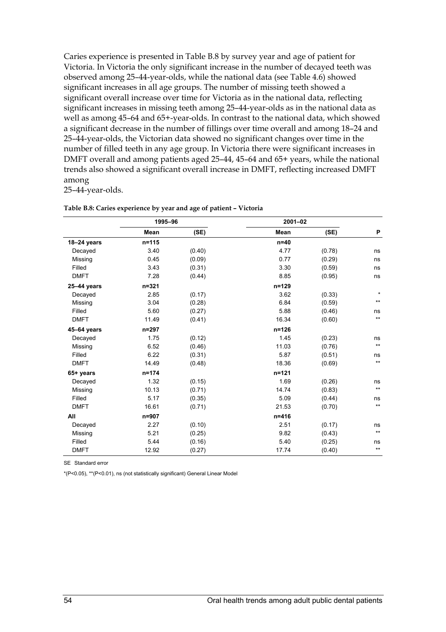Caries experience is presented in Table B.8 by survey year and age of patient for Victoria. In Victoria the only significant increase in the number of decayed teeth was observed among 25–44-year-olds, while the national data (see Table 4.6) showed significant increases in all age groups. The number of missing teeth showed a significant overall increase over time for Victoria as in the national data, reflecting significant increases in missing teeth among 25–44-year-olds as in the national data as well as among 45–64 and 65+-year-olds. In contrast to the national data, which showed a significant decrease in the number of fillings over time overall and among 18–24 and 25–44-year-olds, the Victorian data showed no significant changes over time in the number of filled teeth in any age group. In Victoria there were significant increases in DMFT overall and among patients aged 25–44, 45–64 and 65+ years, while the national trends also showed a significant overall increase in DMFT, reflecting increased DMFT among

25–44-year-olds.

|             | 1995-96   |        | $2001 - 02$ |        |                 |
|-------------|-----------|--------|-------------|--------|-----------------|
|             | Mean      | (SE)   | Mean        | (SE)   | P               |
| 18-24 years | $n = 115$ |        | $n=40$      |        |                 |
| Decayed     | 3.40      | (0.40) | 4.77        | (0.78) | ns              |
| Missing     | 0.45      | (0.09) | 0.77        | (0.29) | ns              |
| Filled      | 3.43      | (0.31) | 3.30        | (0.59) | ns              |
| <b>DMFT</b> | 7.28      | (0.44) | 8.85        | (0.95) | ns              |
| 25-44 years | $n = 321$ |        | $n = 129$   |        |                 |
| Decayed     | 2.85      | (0.17) | 3.62        | (0.33) | $\star$         |
| Missing     | 3.04      | (0.28) | 6.84        | (0.59) | $***$           |
| Filled      | 5.60      | (0.27) | 5.88        | (0.46) | ns              |
| <b>DMFT</b> | 11.49     | (0.41) | 16.34       | (0.60) | $***$           |
| 45-64 years | n=297     |        | $n = 126$   |        |                 |
| Decayed     | 1.75      | (0.12) | 1.45        | (0.23) | ns              |
| Missing     | 6.52      | (0.46) | 11.03       | (0.76) | $^{\star\star}$ |
| Filled      | 6.22      | (0.31) | 5.87        | (0.51) | ns              |
| <b>DMFT</b> | 14.49     | (0.48) | 18.36       | (0.69) | $^{\star\star}$ |
| 65+ years   | $n = 174$ |        | $n = 121$   |        |                 |
| Decayed     | 1.32      | (0.15) | 1.69        | (0.26) | ns              |
| Missing     | 10.13     | (0.71) | 14.74       | (0.83) | $^{\star\star}$ |
| Filled      | 5.17      | (0.35) | 5.09        | (0.44) | ns              |
| <b>DMFT</b> | 16.61     | (0.71) | 21.53       | (0.70) | $^{\star\star}$ |
| All         | n=907     |        | $n = 416$   |        |                 |
| Decayed     | 2.27      | (0.10) | 2.51        | (0.17) | ns              |
| Missing     | 5.21      | (0.25) | 9.82        | (0.43) | $^{\star\star}$ |
| Filled      | 5.44      | (0.16) | 5.40        | (0.25) | ns              |
| <b>DMFT</b> | 12.92     | (0.27) | 17.74       | (0.40) | $^{\star\star}$ |

| Table B.8: Caries experience by year and age of patient - Victoria |  |  |  |  |
|--------------------------------------------------------------------|--|--|--|--|
|--------------------------------------------------------------------|--|--|--|--|

SE Standard error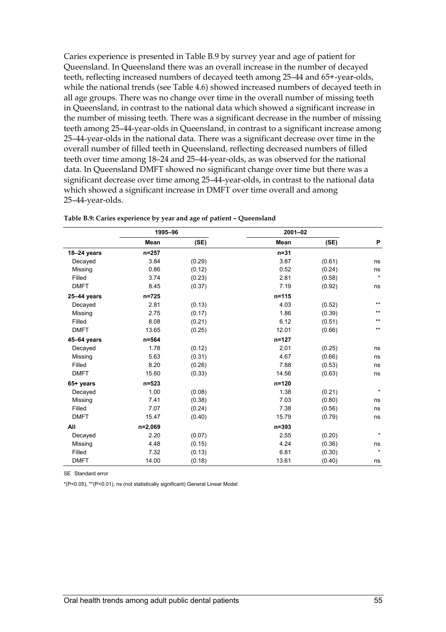Caries experience is presented in Table B.9 by survey year and age of patient for Queensland. In Queensland there was an overall increase in the number of decayed teeth, reflecting increased numbers of decayed teeth among 25–44 and 65+-year-olds, while the national trends (see Table 4.6) showed increased numbers of decayed teeth in all age groups. There was no change over time in the overall number of missing teeth in Queensland, in contrast to the national data which showed a significant increase in the number of missing teeth. There was a significant decrease in the number of missing teeth among 25–44-year-olds in Queensland, in contrast to a significant increase among 25–44-year-olds in the national data. There was a significant decrease over time in the overall number of filled teeth in Queensland, reflecting decreased numbers of filled teeth over time among 18–24 and 25–44-year-olds, as was observed for the national data. In Queensland DMFT showed no significant change over time but there was a significant decrease over time among 25–44-year-olds, in contrast to the national data which showed a significant increase in DMFT over time overall and among 25–44-year-olds.

|                 | 1995-96   |        | $2001 - 02$ |        |         |
|-----------------|-----------|--------|-------------|--------|---------|
|                 | Mean      | (SE)   | <b>Mean</b> | (SE)   | P       |
| 18-24 years     | n=257     |        | $n=31$      |        |         |
| Decayed         | 3.84      | (0.29) | 3.87        | (0.61) | ns      |
| Missing         | 0.86      | (0.12) | 0.52        | (0.24) | ns      |
| Filled          | 3.74      | (0.23) | 2.81        | (0.58) | $\star$ |
| <b>DMFT</b>     | 8.45      | (0.37) | 7.19        | (0.92) | ns      |
| $25 - 44$ years | $n = 725$ |        | $n = 115$   |        |         |
| Decayed         | 2.81      | (0.13) | 4.03        | (0.52) | $***$   |
| Missing         | 2.75      | (0.17) | 1.86        | (0.39) | $***$   |
| Filled          | 8.08      | (0.21) | 6.12        | (0.51) | $***$   |
| <b>DMFT</b>     | 13.65     | (0.25) | 12.01       | (0.66) | $***$   |
| 45-64 years     | n=564     |        | $n = 127$   |        |         |
| Decayed         | 1.78      | (0.12) | 2.01        | (0.25) | ns      |
| Missing         | 5.63      | (0.31) | 4.67        | (0.66) | ns      |
| Filled          | 8.20      | (0.26) | 7.88        | (0.53) | ns      |
| <b>DMFT</b>     | 15.60     | (0.33) | 14.56       | (0.63) | ns      |
| 65+ years       | $n = 523$ |        | $n = 120$   |        |         |
| Decayed         | 1.00      | (0.08) | 1.38        | (0.21) | $\star$ |
| Missing         | 7.41      | (0.38) | 7.03        | (0.80) | ns      |
| Filled          | 7.07      | (0.24) | 7.38        | (0.56) | ns      |
| <b>DMFT</b>     | 15.47     | (0.40) | 15.79       | (0.79) | ns      |
| All             | n=2,069   |        | $n = 393$   |        |         |
| Decayed         | 2.20      | (0.07) | 2.55        | (0.20) | $\star$ |
| Missing         | 4.48      | (0.15) | 4.24        | (0.36) | ns      |
| Filled          | 7.32      | (0.13) | 6.81        | (0.30) | $\star$ |
| <b>DMFT</b>     | 14.00     | (0.18) | 13.61       | (0.40) | ns      |

**Table B.9: Caries experience by year and age of patient – Queensland** 

SE Standard error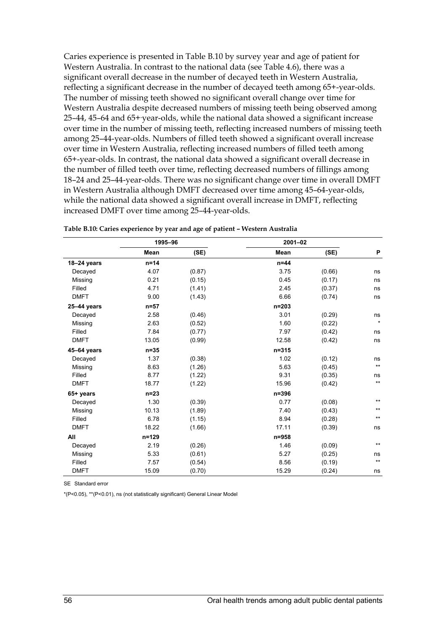Caries experience is presented in Table B.10 by survey year and age of patient for Western Australia. In contrast to the national data (see Table 4.6), there was a significant overall decrease in the number of decayed teeth in Western Australia, reflecting a significant decrease in the number of decayed teeth among 65+-year-olds. The number of missing teeth showed no significant overall change over time for Western Australia despite decreased numbers of missing teeth being observed among 25–44, 45–64 and 65+- year-olds, while the national data showed a significant increase over time in the number of missing teeth, reflecting increased numbers of missing teeth among 25–44-year-olds. Numbers of filled teeth showed a significant overall increase over time in Western Australia, reflecting increased numbers of filled teeth among 65+-year-olds. In contrast, the national data showed a significant overall decrease in the number of filled teeth over time, reflecting decreased numbers of fillings among 18–24 and 25–44-year-olds. There was no significant change over time in overall DMFT in Western Australia although DMFT decreased over time among 45–64-year-olds, while the national data showed a significant overall increase in DMFT, reflecting increased DMFT over time among 25–44-year-olds.

|                 | 1995-96   |        | 2001-02   |        |                 |
|-----------------|-----------|--------|-----------|--------|-----------------|
|                 | Mean      | (SE)   | Mean      | (SE)   | P               |
| 18-24 years     | $n=14$    |        | $n=44$    |        |                 |
| Decayed         | 4.07      | (0.87) | 3.75      | (0.66) | ns              |
| Missing         | 0.21      | (0.15) | 0.45      | (0.17) | ns              |
| Filled          | 4.71      | (1.41) | 2.45      | (0.37) | ns              |
| <b>DMFT</b>     | 9.00      | (1.43) | 6.66      | (0.74) | ns              |
| $25 - 44$ years | $n=57$    |        | $n = 203$ |        |                 |
| Decayed         | 2.58      | (0.46) | 3.01      | (0.29) | ns              |
| Missing         | 2.63      | (0.52) | 1.60      | (0.22) | $\star$         |
| Filled          | 7.84      | (0.77) | 7.97      | (0.42) | ns              |
| <b>DMFT</b>     | 13.05     | (0.99) | 12.58     | (0.42) | ns              |
| 45-64 years     | $n = 35$  |        | $n = 315$ |        |                 |
| Decayed         | 1.37      | (0.38) | 1.02      | (0.12) | ns              |
| Missing         | 8.63      | (1.26) | 5.63      | (0.45) | $^{\star\star}$ |
| Filled          | 8.77      | (1.22) | 9.31      | (0.35) | ns              |
| <b>DMFT</b>     | 18.77     | (1.22) | 15.96     | (0.42) | $***$           |
| 65+ years       | $n=23$    |        | $n = 396$ |        |                 |
| Decayed         | 1.30      | (0.39) | 0.77      | (0.08) | $***$           |
| Missing         | 10.13     | (1.89) | 7.40      | (0.43) | $***$           |
| Filled          | 6.78      | (1.15) | 8.94      | (0.28) | $***$           |
| <b>DMFT</b>     | 18.22     | (1.66) | 17.11     | (0.39) | ns              |
| All             | $n = 129$ |        | $n = 958$ |        |                 |
| Decayed         | 2.19      | (0.26) | 1.46      | (0.09) | $***$           |
| Missing         | 5.33      | (0.61) | 5.27      | (0.25) | ns              |
| Filled          | 7.57      | (0.54) | 8.56      | (0.19) | $^{\star\star}$ |
| <b>DMFT</b>     | 15.09     | (0.70) | 15.29     | (0.24) | ns              |

**Table B.10: Caries experience by year and age of patient – Western Australia** 

SE Standard error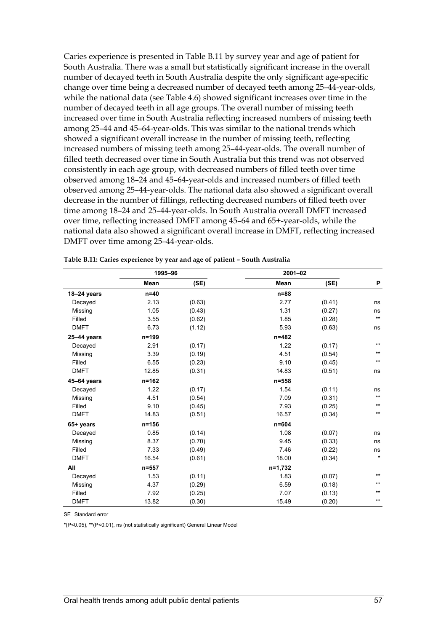Caries experience is presented in Table B.11 by survey year and age of patient for South Australia. There was a small but statistically significant increase in the overall number of decayed teeth in South Australia despite the only significant age-specific change over time being a decreased number of decayed teeth among 25–44-year-olds, while the national data (see Table 4.6) showed significant increases over time in the number of decayed teeth in all age groups. The overall number of missing teeth increased over time in South Australia reflecting increased numbers of missing teeth among 25–44 and 45–64-year-olds. This was similar to the national trends which showed a significant overall increase in the number of missing teeth, reflecting increased numbers of missing teeth among 25–44-year-olds. The overall number of filled teeth decreased over time in South Australia but this trend was not observed consistently in each age group, with decreased numbers of filled teeth over time observed among 18–24 and 45–64-year-olds and increased numbers of filled teeth observed among 25–44-year-olds. The national data also showed a significant overall decrease in the number of fillings, reflecting decreased numbers of filled teeth over time among 18–24 and 25–44-year-olds. In South Australia overall DMFT increased over time, reflecting increased DMFT among 45–64 and 65+-year-olds, while the national data also showed a significant overall increase in DMFT, reflecting increased DMFT over time among 25–44-year-olds.

|                 | 1995-96   |        |           | 2001-02 |                 |
|-----------------|-----------|--------|-----------|---------|-----------------|
|                 | Mean      | (SE)   | Mean      | (SE)    | P               |
| 18-24 years     | $n=40$    |        | $n = 88$  |         |                 |
| Decayed         | 2.13      | (0.63) | 2.77      | (0.41)  | ns              |
| Missing         | 1.05      | (0.43) | 1.31      | (0.27)  | ns              |
| Filled          | 3.55      | (0.62) | 1.85      | (0.28)  | $^{\star\star}$ |
| <b>DMFT</b>     | 6.73      | (1.12) | 5.93      | (0.63)  | ns              |
| $25 - 44$ years | $n = 199$ |        | $n = 482$ |         |                 |
| Decayed         | 2.91      | (0.17) | 1.22      | (0.17)  | $***$           |
| Missing         | 3.39      | (0.19) | 4.51      | (0.54)  | $***$           |
| Filled          | 6.55      | (0.23) | 9.10      | (0.45)  | $***$           |
| <b>DMFT</b>     | 12.85     | (0.31) | 14.83     | (0.51)  | ns              |
| 45-64 years     | $n = 162$ |        | $n = 558$ |         |                 |
| Decayed         | 1.22      | (0.17) | 1.54      | (0.11)  | ns              |
| Missing         | 4.51      | (0.54) | 7.09      | (0.31)  | $^{\star\star}$ |
| Filled          | 9.10      | (0.45) | 7.93      | (0.25)  | $^{\star\star}$ |
| <b>DMFT</b>     | 14.83     | (0.51) | 16.57     | (0.34)  | $***$           |
| 65+ years       | $n = 156$ |        | $n = 604$ |         |                 |
| Decayed         | 0.85      | (0.14) | 1.08      | (0.07)  | ns              |
| Missing         | 8.37      | (0.70) | 9.45      | (0.33)  | ns              |
| Filled          | 7.33      | (0.49) | 7.46      | (0.22)  | ns              |
| <b>DMFT</b>     | 16.54     | (0.61) | 18.00     | (0.34)  | $\star$         |
| All             | $n = 557$ |        | n=1,732   |         |                 |
| Decayed         | 1.53      | (0.11) | 1.83      | (0.07)  | $\star\star$    |
| Missing         | 4.37      | (0.29) | 6.59      | (0.18)  | $***$           |
| Filled          | 7.92      | (0.25) | 7.07      | (0.13)  | $***$           |
| <b>DMFT</b>     | 13.82     | (0.30) | 15.49     | (0.20)  | $***$           |

**Table B.11: Caries experience by year and age of patient – South Australia** 

SE Standard error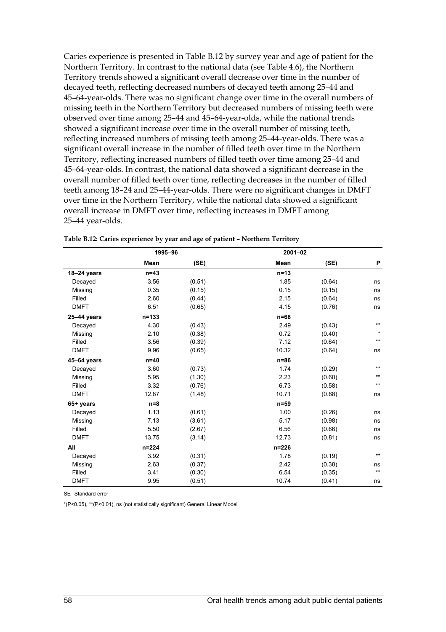Caries experience is presented in Table B.12 by survey year and age of patient for the Northern Territory. In contrast to the national data (see Table 4.6), the Northern Territory trends showed a significant overall decrease over time in the number of decayed teeth, reflecting decreased numbers of decayed teeth among 25–44 and 45–64-year-olds. There was no significant change over time in the overall numbers of missing teeth in the Northern Territory but decreased numbers of missing teeth were observed over time among 25–44 and 45–64-year-olds, while the national trends showed a significant increase over time in the overall number of missing teeth, reflecting increased numbers of missing teeth among 25–44-year-olds. There was a significant overall increase in the number of filled teeth over time in the Northern Territory, reflecting increased numbers of filled teeth over time among 25–44 and 45–64-year-olds. In contrast, the national data showed a significant decrease in the overall number of filled teeth over time, reflecting decreases in the number of filled teeth among 18–24 and 25–44-year-olds. There were no significant changes in DMFT over time in the Northern Territory, while the national data showed a significant overall increase in DMFT over time, reflecting increases in DMFT among 25–44 year-olds.

|                 |           | 1995-96 |           | $2001 - 02$ |              |
|-----------------|-----------|---------|-----------|-------------|--------------|
|                 | Mean      | (SE)    | Mean      | (SE)        | P            |
| $18 - 24$ years | $n=43$    |         | $n=13$    |             |              |
| Decayed         | 3.56      | (0.51)  | 1.85      | (0.64)      | ns           |
| Missing         | 0.35      | (0.15)  | 0.15      | (0.15)      | ns           |
| Filled          | 2.60      | (0.44)  | 2.15      | (0.64)      | ns           |
| <b>DMFT</b>     | 6.51      | (0.65)  | 4.15      | (0.76)      | ns           |
| $25 - 44$ years | $n = 133$ |         | $n=68$    |             |              |
| Decayed         | 4.30      | (0.43)  | 2.49      | (0.43)      | $***$        |
| Missing         | 2.10      | (0.38)  | 0.72      | (0.40)      | $\star$      |
| Filled          | 3.56      | (0.39)  | 7.12      | (0.64)      | $\star\star$ |
| <b>DMFT</b>     | 9.96      | (0.65)  | 10.32     | (0.64)      | ns           |
| 45-64 years     | $n=40$    |         | $n=86$    |             |              |
| Decayed         | 3.60      | (0.73)  | 1.74      | (0.29)      | $***$        |
| Missing         | 5.95      | (1.30)  | 2.23      | (0.60)      | $***$        |
| Filled          | 3.32      | (0.76)  | 6.73      | (0.58)      | $***$        |
| <b>DMFT</b>     | 12.87     | (1.48)  | 10.71     | (0.68)      | ns           |
| 65+ years       | $n=8$     |         | $n = 59$  |             |              |
| Decayed         | 1.13      | (0.61)  | 1.00      | (0.26)      | ns           |
| Missing         | 7.13      | (3.61)  | 5.17      | (0.98)      | ns           |
| Filled          | 5.50      | (2.67)  | 6.56      | (0.66)      | ns           |
| <b>DMFT</b>     | 13.75     | (3.14)  | 12.73     | (0.81)      | ns           |
| All             | $n = 224$ |         | $n = 226$ |             |              |
| Decayed         | 3.92      | (0.31)  | 1.78      | (0.19)      | $***$        |
| Missing         | 2.63      | (0.37)  | 2.42      | (0.38)      | ns           |
| Filled          | 3.41      | (0.30)  | 6.54      | (0.35)      | $***$        |
| <b>DMFT</b>     | 9.95      | (0.51)  | 10.74     | (0.41)      | ns           |

|  |  | Table B.12: Caries experience by year and age of patient - Northern Territory |
|--|--|-------------------------------------------------------------------------------|
|--|--|-------------------------------------------------------------------------------|

SE Standard error

\*(P<0.05), \*\*(P<0.01), ns (not statistically significant) General Linear Model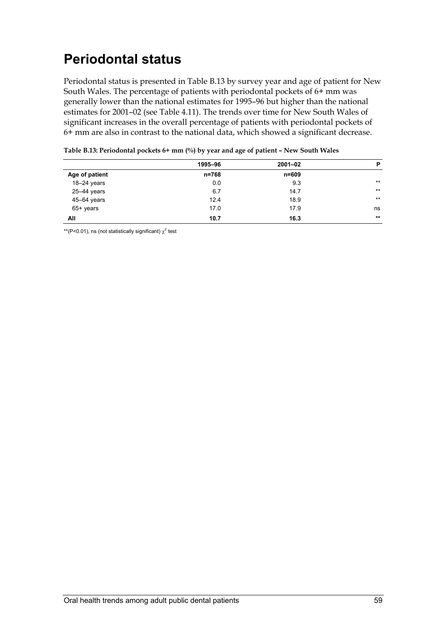# **Periodontal status**

Periodontal status is presented in Table B.13 by survey year and age of patient for New South Wales. The percentage of patients with periodontal pockets of 6+ mm was generally lower than the national estimates for 1995–96 but higher than the national estimates for 2001–02 (see Table 4.11). The trends over time for New South Wales of significant increases in the overall percentage of patients with periodontal pockets of 6+ mm are also in contrast to the national data, which showed a significant decrease.

|                 | 1995-96 | $2001 - 02$ | P     |
|-----------------|---------|-------------|-------|
| Age of patient  | n=768   | n=609       |       |
| 18-24 years     | 0.0     | 9.3         | $***$ |
| $25 - 44$ years | 6.7     | 14.7        | $***$ |
| 45-64 years     | 12.4    | 18.9        | $***$ |
| 65+ years       | 17.0    | 17.9        | ns    |
| All             | 10.7    | 16.3        | $**$  |

| Table B.13: Periodontal pockets 6+ mm (%) by year and age of patient - New South Wales |
|----------------------------------------------------------------------------------------|
|----------------------------------------------------------------------------------------|

\*\*(P<0.01), ns (not statistically significant)  $\chi^2$  test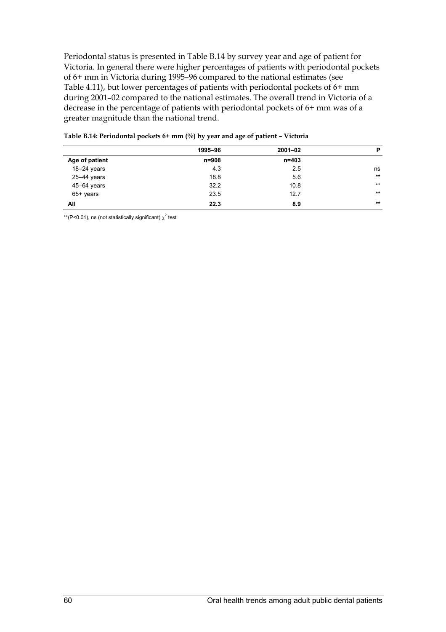Periodontal status is presented in Table B.14 by survey year and age of patient for Victoria. In general there were higher percentages of patients with periodontal pockets of 6+ mm in Victoria during 1995–96 compared to the national estimates (see Table 4.11), but lower percentages of patients with periodontal pockets of 6+ mm during 2001–02 compared to the national estimates. The overall trend in Victoria of a decrease in the percentage of patients with periodontal pockets of 6+ mm was of a greater magnitude than the national trend.

|                | 1995-96 | $2001 - 02$ | P     |
|----------------|---------|-------------|-------|
| Age of patient | n=908   | n=403       |       |
| $18-24$ years  | 4.3     | 2.5         | ns    |
| 25-44 years    | 18.8    | 5.6         | $***$ |
| 45-64 years    | 32.2    | 10.8        | $***$ |
| 65+ years      | 23.5    | 12.7        | $***$ |
| All            | 22.3    | 8.9         | $**$  |

\*\*(P<0.01), ns (not statistically significant)  $\chi^2$  test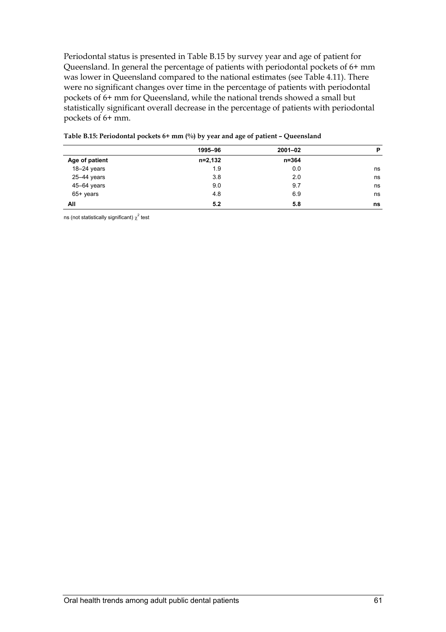Periodontal status is presented in Table B.15 by survey year and age of patient for Queensland. In general the percentage of patients with periodontal pockets of 6+ mm was lower in Queensland compared to the national estimates (see Table 4.11). There were no significant changes over time in the percentage of patients with periodontal pockets of 6+ mm for Queensland, while the national trends showed a small but statistically significant overall decrease in the percentage of patients with periodontal pockets of 6+ mm.

|                | 1995-96 | $2001 - 02$ | P  |
|----------------|---------|-------------|----|
| Age of patient | n=2,132 | n=364       |    |
| $18-24$ years  | 1.9     | 0.0         | ns |
| 25-44 years    | 3.8     | 2.0         | ns |
| 45-64 years    | 9.0     | 9.7         | ns |
| $65+$ years    | 4.8     | 6.9         | ns |
| All            | 5.2     | 5.8         | ns |

| Table B.15: Periodontal pockets $6+$ mm $\binom{0}{0}$ by year and age of patient – Queensland |  |  |  |
|------------------------------------------------------------------------------------------------|--|--|--|
|------------------------------------------------------------------------------------------------|--|--|--|

ns (not statistically significant)  $\chi^2$  test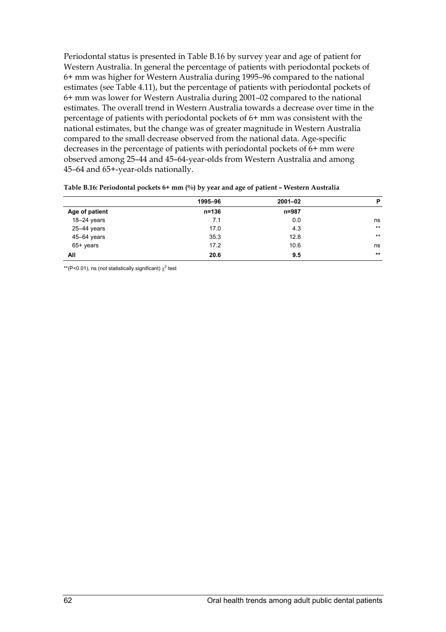Periodontal status is presented in Table B.16 by survey year and age of patient for Western Australia. In general the percentage of patients with periodontal pockets of 6+ mm was higher for Western Australia during 1995–96 compared to the national estimates (see Table 4.11), but the percentage of patients with periodontal pockets of 6+ mm was lower for Western Australia during 2001–02 compared to the national estimates. The overall trend in Western Australia towards a decrease over time in the percentage of patients with periodontal pockets of 6+ mm was consistent with the national estimates, but the change was of greater magnitude in Western Australia compared to the small decrease observed from the national data. Age-specific decreases in the percentage of patients with periodontal pockets of 6+ mm were observed among 25–44 and 45–64-year-olds from Western Australia and among 45–64 and 65+-year-olds nationally.

|                 | 1995-96   | $2001 - 02$ | P     |
|-----------------|-----------|-------------|-------|
| Age of patient  | $n = 136$ | $n = 987$   |       |
| $18-24$ years   | 7.1       | 0.0         | ns    |
| 25-44 years     | 17.0      | 4.3         | $***$ |
| $45 - 64$ years | 35.3      | 12.8        | $***$ |
| $65+$ years     | 17.2      | 10.6        | ns    |
| All             | 20.6      | 9.5         | $***$ |

**Table B.16: Periodontal pockets 6+ mm (%) by year and age of patient – Western Australia** 

\*\*(P<0.01), ns (not statistically significant)  $\chi^2$  test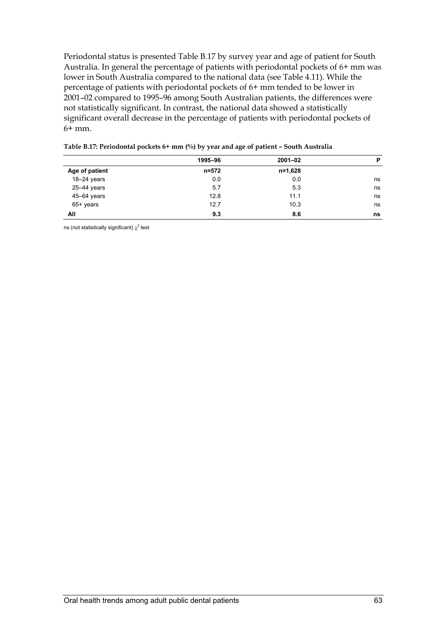Periodontal status is presented Table B.17 by survey year and age of patient for South Australia. In general the percentage of patients with periodontal pockets of 6+ mm was lower in South Australia compared to the national data (see Table 4.11). While the percentage of patients with periodontal pockets of 6+ mm tended to be lower in 2001–02 compared to 1995–96 among South Australian patients, the differences were not statistically significant. In contrast, the national data showed a statistically significant overall decrease in the percentage of patients with periodontal pockets of 6+ mm.

|                 | 1995-96 | $2001 - 02$ | P  |
|-----------------|---------|-------------|----|
| Age of patient  | n=572   | n=1,628     |    |
| 18-24 years     | 0.0     | 0.0         | ns |
| $25 - 44$ years | 5.7     | 5.3         | ns |
| 45-64 years     | 12.8    | 11.1        | ns |
| $65+$ years     | 12.7    | 10.3        | ns |
| All             | 9.3     | 8.6         | ns |
|                 |         |             |    |

| Table B.17: Periodontal pockets 6+ mm (%) by year and age of patient - South Australia |  |  |  |
|----------------------------------------------------------------------------------------|--|--|--|
|                                                                                        |  |  |  |

ns (not statistically significant)  $\chi^2$  test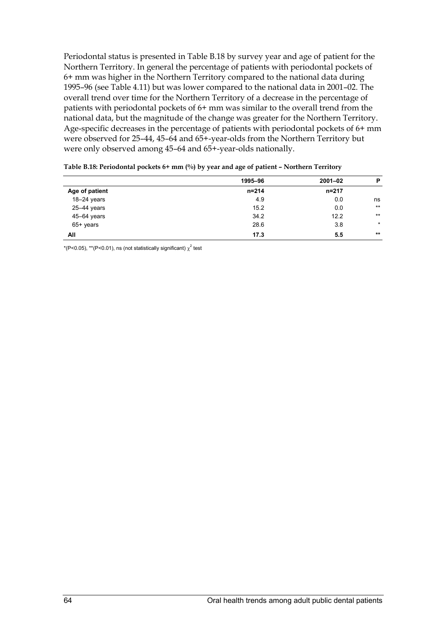Periodontal status is presented in Table B.18 by survey year and age of patient for the Northern Territory. In general the percentage of patients with periodontal pockets of 6+ mm was higher in the Northern Territory compared to the national data during 1995–96 (see Table 4.11) but was lower compared to the national data in 2001–02. The overall trend over time for the Northern Territory of a decrease in the percentage of patients with periodontal pockets of 6+ mm was similar to the overall trend from the national data, but the magnitude of the change was greater for the Northern Territory. Age-specific decreases in the percentage of patients with periodontal pockets of 6+ mm were observed for 25–44, 45–64 and 65+-year-olds from the Northern Territory but were only observed among 45–64 and 65+-year-olds nationally.

|                 | 1995-96   | $2001 - 02$ | P       |
|-----------------|-----------|-------------|---------|
| Age of patient  | $n = 214$ | n=217       |         |
| $18-24$ years   | 4.9       | 0.0         | ns      |
| 25-44 years     | 15.2      | 0.0         | $***$   |
| $45 - 64$ years | 34.2      | 12.2        | $***$   |
| $65+$ years     | 28.6      | 3.8         | $\star$ |
| All             | 17.3      | 5.5         | $***$   |

| Table B.18: Periodontal pockets $6+$ mm $(\%)$ by year and age of patient - Northern Territory |  |  |  |
|------------------------------------------------------------------------------------------------|--|--|--|
|------------------------------------------------------------------------------------------------|--|--|--|

\*(P<0.05), \*\*(P<0.01), ns (not statistically significant)  $\chi^2$  test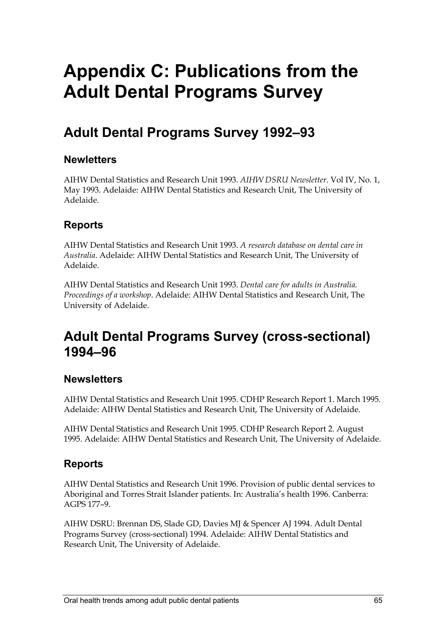# **Appendix C: Publications from the Adult Dental Programs Survey**

# **Adult Dental Programs Survey 1992–93**

#### **Newletters**

AIHW Dental Statistics and Research Unit 1993. *AIHW DSRU Newsletter*. Vol IV, No. 1, May 1993. Adelaide: AIHW Dental Statistics and Research Unit, The University of Adelaide.

### **Reports**

AIHW Dental Statistics and Research Unit 1993. *A research database on dental care in Australia*. Adelaide: AIHW Dental Statistics and Research Unit, The University of Adelaide.

AIHW Dental Statistics and Research Unit 1993. *Dental care for adults in Australia. Proceedings of a workshop*. Adelaide: AIHW Dental Statistics and Research Unit, The University of Adelaide.

## **Adult Dental Programs Survey (cross-sectional) 1994–96**

#### **Newsletters**

AIHW Dental Statistics and Research Unit 1995. CDHP Research Report 1. March 1995. Adelaide: AIHW Dental Statistics and Research Unit, The University of Adelaide.

AIHW Dental Statistics and Research Unit 1995. CDHP Research Report 2. August 1995. Adelaide: AIHW Dental Statistics and Research Unit, The University of Adelaide.

#### **Reports**

AIHW Dental Statistics and Research Unit 1996. Provision of public dental services to Aboriginal and Torres Strait Islander patients. In: Australia's health 1996. Canberra: AGPS 177–9.

AIHW DSRU: Brennan DS, Slade GD, Davies MJ & Spencer AJ 1994. Adult Dental Programs Survey (cross-sectional) 1994. Adelaide: AIHW Dental Statistics and Research Unit, The University of Adelaide.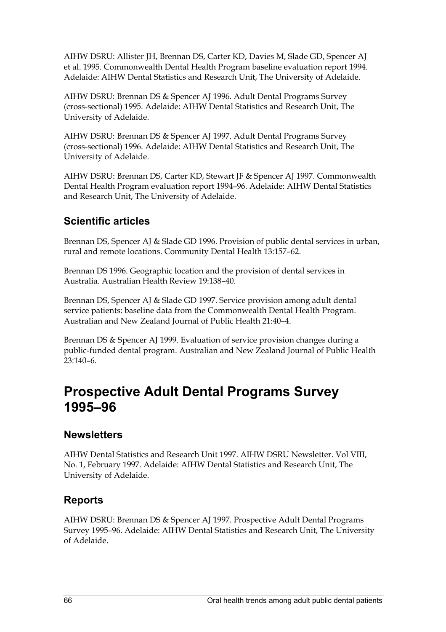AIHW DSRU: Allister JH, Brennan DS, Carter KD, Davies M, Slade GD, Spencer AJ et al. 1995. Commonwealth Dental Health Program baseline evaluation report 1994. Adelaide: AIHW Dental Statistics and Research Unit, The University of Adelaide.

AIHW DSRU: Brennan DS & Spencer AJ 1996. Adult Dental Programs Survey (cross-sectional) 1995. Adelaide: AIHW Dental Statistics and Research Unit, The University of Adelaide.

AIHW DSRU: Brennan DS & Spencer AJ 1997. Adult Dental Programs Survey (cross-sectional) 1996. Adelaide: AIHW Dental Statistics and Research Unit, The University of Adelaide.

AIHW DSRU: Brennan DS, Carter KD, Stewart JF & Spencer AJ 1997. Commonwealth Dental Health Program evaluation report 1994–96. Adelaide: AIHW Dental Statistics and Research Unit, The University of Adelaide.

### **Scientific articles**

Brennan DS, Spencer AJ & Slade GD 1996. Provision of public dental services in urban, rural and remote locations. Community Dental Health 13:157–62.

Brennan DS 1996. Geographic location and the provision of dental services in Australia. Australian Health Review 19:138–40.

Brennan DS, Spencer AJ & Slade GD 1997. Service provision among adult dental service patients: baseline data from the Commonwealth Dental Health Program. Australian and New Zealand Journal of Public Health 21:40–4.

Brennan DS & Spencer AJ 1999. Evaluation of service provision changes during a public-funded dental program. Australian and New Zealand Journal of Public Health 23:140–6.

### **Prospective Adult Dental Programs Survey 1995–96**

#### **Newsletters**

AIHW Dental Statistics and Research Unit 1997. AIHW DSRU Newsletter. Vol VIII, No. 1, February 1997. Adelaide: AIHW Dental Statistics and Research Unit, The University of Adelaide.

#### **Reports**

AIHW DSRU: Brennan DS & Spencer AJ 1997. Prospective Adult Dental Programs Survey 1995–96. Adelaide: AIHW Dental Statistics and Research Unit, The University of Adelaide.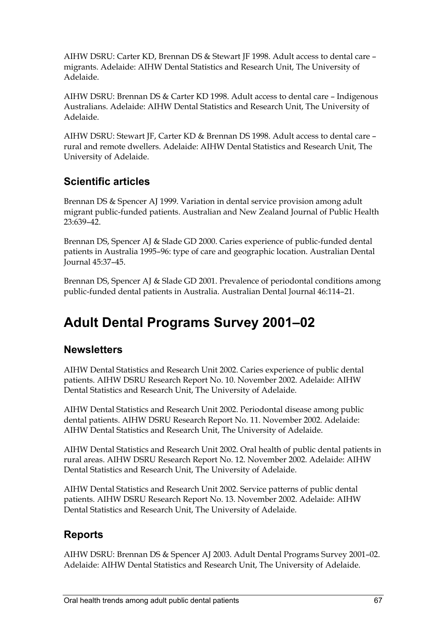AIHW DSRU: Carter KD, Brennan DS & Stewart JF 1998. Adult access to dental care – migrants. Adelaide: AIHW Dental Statistics and Research Unit, The University of Adelaide.

AIHW DSRU: Brennan DS & Carter KD 1998. Adult access to dental care – Indigenous Australians. Adelaide: AIHW Dental Statistics and Research Unit, The University of Adelaide.

AIHW DSRU: Stewart JF, Carter KD & Brennan DS 1998. Adult access to dental care – rural and remote dwellers. Adelaide: AIHW Dental Statistics and Research Unit, The University of Adelaide.

### **Scientific articles**

Brennan DS & Spencer AJ 1999. Variation in dental service provision among adult migrant public-funded patients. Australian and New Zealand Journal of Public Health 23:639–42.

Brennan DS, Spencer AJ & Slade GD 2000. Caries experience of public-funded dental patients in Australia 1995–96: type of care and geographic location. Australian Dental Journal 45:37–45.

Brennan DS, Spencer AJ & Slade GD 2001. Prevalence of periodontal conditions among public-funded dental patients in Australia. Australian Dental Journal 46:114–21.

# **Adult Dental Programs Survey 2001–02**

#### **Newsletters**

AIHW Dental Statistics and Research Unit 2002. Caries experience of public dental patients. AIHW DSRU Research Report No. 10. November 2002. Adelaide: AIHW Dental Statistics and Research Unit, The University of Adelaide.

AIHW Dental Statistics and Research Unit 2002. Periodontal disease among public dental patients. AIHW DSRU Research Report No. 11. November 2002. Adelaide: AIHW Dental Statistics and Research Unit, The University of Adelaide.

AIHW Dental Statistics and Research Unit 2002. Oral health of public dental patients in rural areas. AIHW DSRU Research Report No. 12. November 2002. Adelaide: AIHW Dental Statistics and Research Unit, The University of Adelaide.

AIHW Dental Statistics and Research Unit 2002. Service patterns of public dental patients. AIHW DSRU Research Report No. 13. November 2002. Adelaide: AIHW Dental Statistics and Research Unit, The University of Adelaide.

### **Reports**

AIHW DSRU: Brennan DS & Spencer AJ 2003. Adult Dental Programs Survey 2001–02. Adelaide: AIHW Dental Statistics and Research Unit, The University of Adelaide.